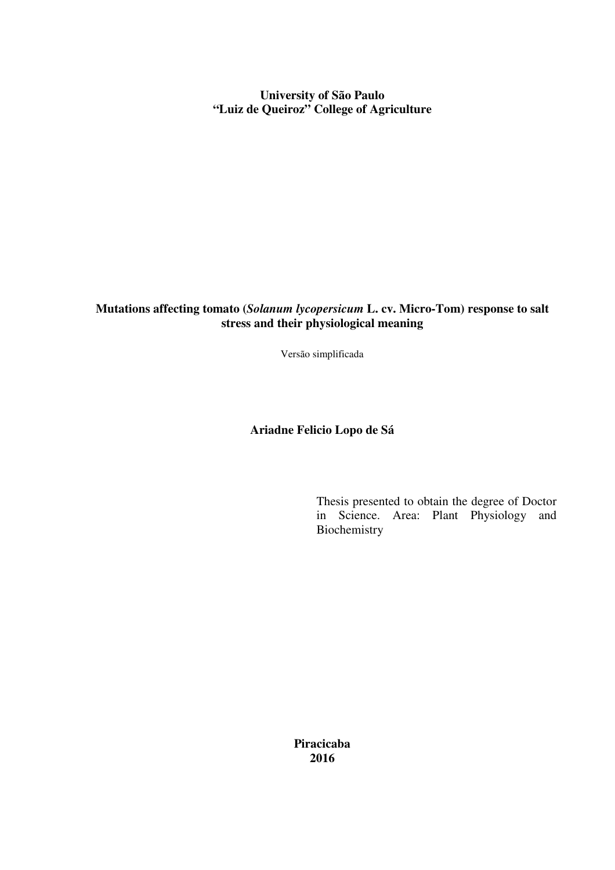**University of São Paulo "Luiz de Queiroz" College of Agriculture** 

**Mutations affecting tomato (***Solanum lycopersicum* **L. cv. Micro-Tom) response to salt stress and their physiological meaning** 

Versão simplificada

# **Ariadne Felicio Lopo de Sá**

Thesis presented to obtain the degree of Doctor in Science. Area: Plant Physiology and Biochemistry

**Piracicaba 2016**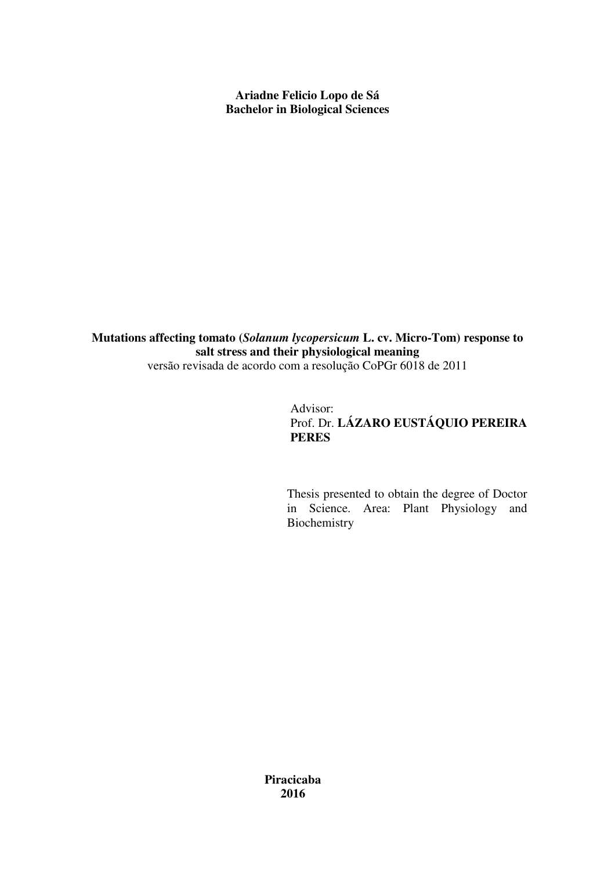**Ariadne Felicio Lopo de Sá Bachelor in Biological Sciences** 

**Mutations affecting tomato (***Solanum lycopersicum* **L. cv. Micro-Tom) response to salt stress and their physiological meaning**  versão revisada de acordo com a resolução CoPGr 6018 de 2011

# Advisor: Prof. Dr. **LÁZARO EUSTÁQUIO PEREIRA PERES**

Thesis presented to obtain the degree of Doctor in Science. Area: Plant Physiology and Biochemistry

**Piracicaba 2016**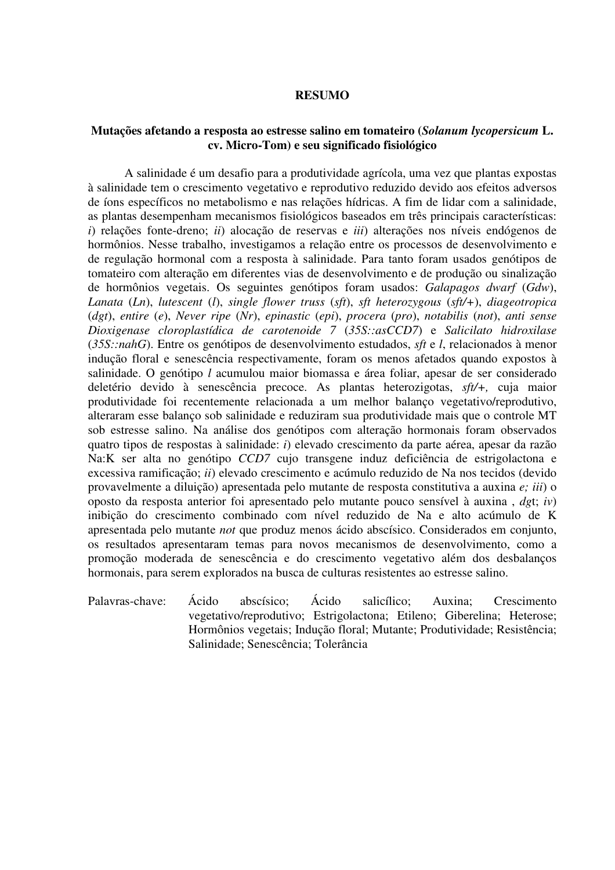### **RESUMO**

## **Mutações afetando a resposta ao estresse salino em tomateiro (***Solanum lycopersicum* **L. cv. Micro-Tom) e seu significado fisiológico**

A salinidade é um desafio para a produtividade agrícola, uma vez que plantas expostas à salinidade tem o crescimento vegetativo e reprodutivo reduzido devido aos efeitos adversos de íons específicos no metabolismo e nas relações hídricas. A fim de lidar com a salinidade, as plantas desempenham mecanismos fisiológicos baseados em três principais características: *i*) relações fonte-dreno; *ii*) alocação de reservas e *iii*) alterações nos níveis endógenos de hormônios. Nesse trabalho, investigamos a relação entre os processos de desenvolvimento e de regulação hormonal com a resposta à salinidade. Para tanto foram usados genótipos de tomateiro com alteração em diferentes vias de desenvolvimento e de produção ou sinalização de hormônios vegetais. Os seguintes genótipos foram usados: *Galapagos dwarf* (*Gdw*), *Lanata* (*Ln*), *lutescent* (*l*), *single flower truss* (*sft*), *sft heterozygous* (*sft/+*), *diageotropica* (*dgt*), *entire* (*e*), *Never ripe* (*Nr*), *epinastic* (*epi*), *procera* (*pro*), *notabilis* (*not*), *anti sense Dioxigenase cloroplastídica de carotenoide 7* (*35S::asCCD7*) e *Salicilato hidroxilase* (*35S::nahG*). Entre os genótipos de desenvolvimento estudados, *sft* e *l*, relacionados à menor indução floral e senescência respectivamente, foram os menos afetados quando expostos à salinidade. O genótipo *l* acumulou maior biomassa e área foliar, apesar de ser considerado deletério devido à senescência precoce. As plantas heterozigotas, *sft/+,* cuja maior produtividade foi recentemente relacionada a um melhor balanço vegetativo/reprodutivo, alteraram esse balanço sob salinidade e reduziram sua produtividade mais que o controle MT sob estresse salino. Na análise dos genótipos com alteração hormonais foram observados quatro tipos de respostas à salinidade: *i*) elevado crescimento da parte aérea, apesar da razão Na:K ser alta no genótipo *CCD7* cujo transgene induz deficiência de estrigolactona e excessiva ramificação; *ii*) elevado crescimento e acúmulo reduzido de Na nos tecidos (devido provavelmente a diluição) apresentada pelo mutante de resposta constitutiva a auxina *e; iii*) o oposto da resposta anterior foi apresentado pelo mutante pouco sensível à auxina , *dg*t; *iv*) inibição do crescimento combinado com nível reduzido de Na e alto acúmulo de K apresentada pelo mutante *not* que produz menos ácido abscísico. Considerados em conjunto, os resultados apresentaram temas para novos mecanismos de desenvolvimento, como a promoção moderada de senescência e do crescimento vegetativo além dos desbalanços hormonais, para serem explorados na busca de culturas resistentes ao estresse salino.

Palavras-chave: Ácido abscísico; Ácido salicílico; Auxina; Crescimento vegetativo/reprodutivo; Estrigolactona; Etileno; Giberelina; Heterose; Hormônios vegetais; Indução floral; Mutante; Produtividade; Resistência; Salinidade; Senescência; Tolerância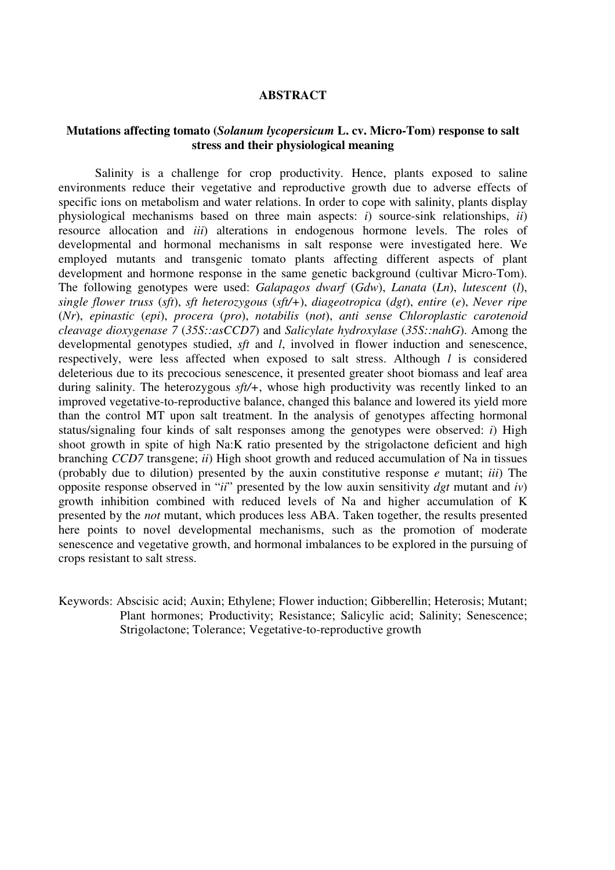### **ABSTRACT**

## **Mutations affecting tomato (***Solanum lycopersicum* **L. cv. Micro-Tom) response to salt stress and their physiological meaning**

Salinity is a challenge for crop productivity. Hence, plants exposed to saline environments reduce their vegetative and reproductive growth due to adverse effects of specific ions on metabolism and water relations. In order to cope with salinity, plants display physiological mechanisms based on three main aspects: *i*) source-sink relationships, *ii*) resource allocation and *iii*) alterations in endogenous hormone levels. The roles of developmental and hormonal mechanisms in salt response were investigated here. We employed mutants and transgenic tomato plants affecting different aspects of plant development and hormone response in the same genetic background (cultivar Micro-Tom). The following genotypes were used: *Galapagos dwarf* (*Gdw*), *Lanata* (*Ln*), *lutescent* (*l*), *single flower truss* (*sft*), *sft heterozygous* (*sft/+*), *diageotropica* (*dgt*), *entire* (*e*), *Never ripe* (*Nr*), *epinastic* (*epi*), *procera* (*pro*), *notabilis* (*not*), *anti sense Chloroplastic carotenoid cleavage dioxygenase 7* (*35S::asCCD7*) and *Salicylate hydroxylase* (*35S::nahG*). Among the developmental genotypes studied, *sft* and *l*, involved in flower induction and senescence, respectively, were less affected when exposed to salt stress. Although *l* is considered deleterious due to its precocious senescence, it presented greater shoot biomass and leaf area during salinity. The heterozygous *sft/+*, whose high productivity was recently linked to an improved vegetative-to-reproductive balance, changed this balance and lowered its yield more than the control MT upon salt treatment. In the analysis of genotypes affecting hormonal status/signaling four kinds of salt responses among the genotypes were observed: *i*) High shoot growth in spite of high Na:K ratio presented by the strigolactone deficient and high branching *CCD7* transgene; *ii*) High shoot growth and reduced accumulation of Na in tissues (probably due to dilution) presented by the auxin constitutive response *e* mutant; *iii*) The opposite response observed in "*ii*" presented by the low auxin sensitivity *dgt* mutant and *iv*) growth inhibition combined with reduced levels of Na and higher accumulation of K presented by the *not* mutant, which produces less ABA. Taken together, the results presented here points to novel developmental mechanisms, such as the promotion of moderate senescence and vegetative growth, and hormonal imbalances to be explored in the pursuing of crops resistant to salt stress.

Keywords: Abscisic acid; Auxin; Ethylene; Flower induction; Gibberellin; Heterosis; Mutant; Plant hormones; Productivity; Resistance; Salicylic acid; Salinity; Senescence; Strigolactone; Tolerance; Vegetative-to-reproductive growth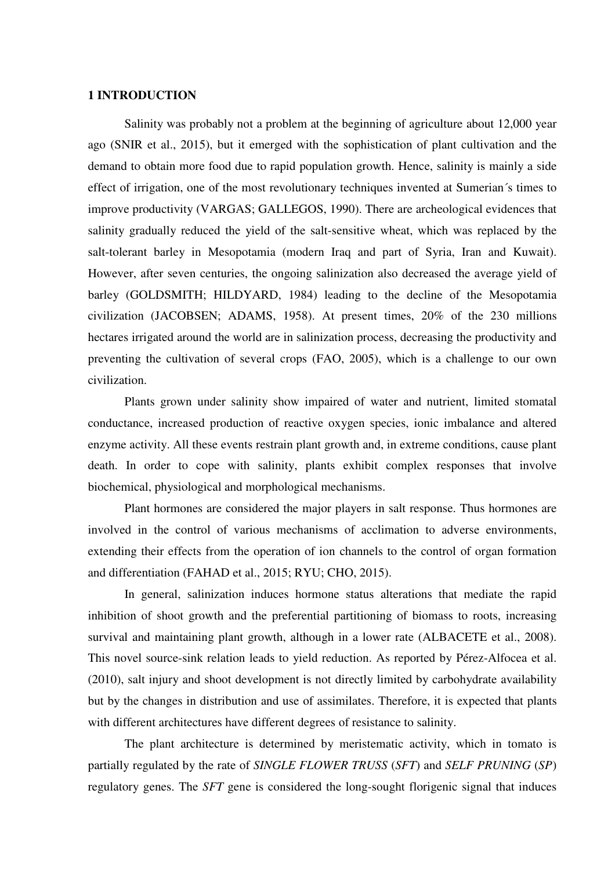### **1 INTRODUCTION**

Salinity was probably not a problem at the beginning of agriculture about 12,000 year ago (SNIR et al., 2015), but it emerged with the sophistication of plant cultivation and the demand to obtain more food due to rapid population growth. Hence, salinity is mainly a side effect of irrigation, one of the most revolutionary techniques invented at Sumerian´s times to improve productivity (VARGAS; GALLEGOS, 1990). There are archeological evidences that salinity gradually reduced the yield of the salt-sensitive wheat, which was replaced by the salt-tolerant barley in Mesopotamia (modern Iraq and part of Syria, Iran and Kuwait). However, after seven centuries, the ongoing salinization also decreased the average yield of barley (GOLDSMITH; HILDYARD, 1984) leading to the decline of the Mesopotamia civilization (JACOBSEN; ADAMS, 1958). At present times, 20% of the 230 millions hectares irrigated around the world are in salinization process, decreasing the productivity and preventing the cultivation of several crops (FAO, 2005), which is a challenge to our own civilization.

Plants grown under salinity show impaired of water and nutrient, limited stomatal conductance, increased production of reactive oxygen species, ionic imbalance and altered enzyme activity. All these events restrain plant growth and, in extreme conditions, cause plant death. In order to cope with salinity, plants exhibit complex responses that involve biochemical, physiological and morphological mechanisms.

Plant hormones are considered the major players in salt response. Thus hormones are involved in the control of various mechanisms of acclimation to adverse environments, extending their effects from the operation of ion channels to the control of organ formation and differentiation (FAHAD et al., 2015; RYU; CHO, 2015).

In general, salinization induces hormone status alterations that mediate the rapid inhibition of shoot growth and the preferential partitioning of biomass to roots, increasing survival and maintaining plant growth, although in a lower rate (ALBACETE et al., 2008). This novel source-sink relation leads to yield reduction. As reported by Pérez-Alfocea et al. (2010), salt injury and shoot development is not directly limited by carbohydrate availability but by the changes in distribution and use of assimilates. Therefore, it is expected that plants with different architectures have different degrees of resistance to salinity.

The plant architecture is determined by meristematic activity, which in tomato is partially regulated by the rate of *SINGLE FLOWER TRUSS* (*SFT*) and *SELF PRUNING* (*SP*) regulatory genes. The *SFT* gene is considered the long-sought florigenic signal that induces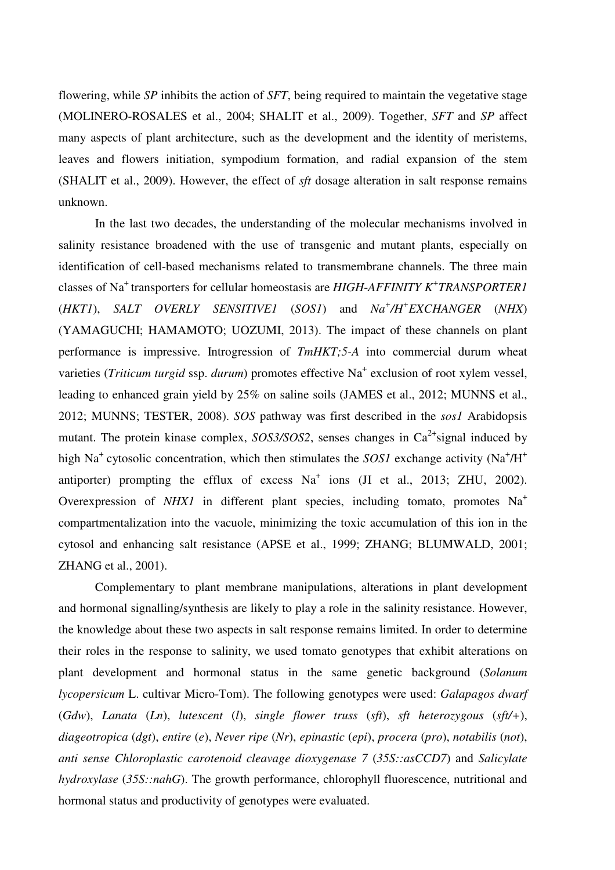flowering, while *SP* inhibits the action of *SFT*, being required to maintain the vegetative stage (MOLINERO-ROSALES et al., 2004; SHALIT et al., 2009). Together, *SFT* and *SP* affect many aspects of plant architecture, such as the development and the identity of meristems, leaves and flowers initiation, sympodium formation, and radial expansion of the stem (SHALIT et al., 2009). However, the effect of *sft* dosage alteration in salt response remains unknown.

In the last two decades, the understanding of the molecular mechanisms involved in salinity resistance broadened with the use of transgenic and mutant plants, especially on identification of cell-based mechanisms related to transmembrane channels. The three main classes of Na<sup>+</sup>transporters for cellular homeostasis are *HIGH*-*AFFINITY K<sup>+</sup> TRANSPORTER1* (*HKT1*), *SALT OVERLY SENSITIVE1* (*SOS1*) and *Na<sup>+</sup> /H<sup>+</sup> EXCHANGER* (*NHX*) (YAMAGUCHI; HAMAMOTO; UOZUMI, 2013). The impact of these channels on plant performance is impressive. Introgression of *TmHKT;5-A* into commercial durum wheat varieties (*Triticum turgid* ssp. *durum*) promotes effective Na<sup>+</sup> exclusion of root xylem vessel, leading to enhanced grain yield by 25% on saline soils (JAMES et al., 2012; MUNNS et al., 2012; MUNNS; TESTER, 2008). *SOS* pathway was first described in the *sos1* Arabidopsis mutant. The protein kinase complex, *SOS3/SOS2*, senses changes in  $Ca^{2+}$  signal induced by high Na<sup>+</sup> cytosolic concentration, which then stimulates the *SOS1* exchange activity (Na<sup>+</sup>/H<sup>+</sup> antiporter) prompting the efflux of excess  $Na<sup>+</sup>$  ions (JI et al., 2013; ZHU, 2002). Overexpression of *NHX1* in different plant species, including tomato, promotes Na<sup>+</sup> compartmentalization into the vacuole, minimizing the toxic accumulation of this ion in the cytosol and enhancing salt resistance (APSE et al., 1999; ZHANG; BLUMWALD, 2001; ZHANG et al., 2001).

Complementary to plant membrane manipulations, alterations in plant development and hormonal signalling/synthesis are likely to play a role in the salinity resistance. However, the knowledge about these two aspects in salt response remains limited. In order to determine their roles in the response to salinity, we used tomato genotypes that exhibit alterations on plant development and hormonal status in the same genetic background (*Solanum lycopersicum* L. cultivar Micro-Tom). The following genotypes were used: *Galapagos dwarf* (*Gdw*), *Lanata* (*Ln*), *lutescent* (*l*), *single flower truss* (*sft*), *sft heterozygous* (*sft/+*), *diageotropica* (*dgt*), *entire* (*e*), *Never ripe* (*Nr*), *epinastic* (*epi*), *procera* (*pro*), *notabilis* (*not*), *anti sense Chloroplastic carotenoid cleavage dioxygenase 7* (*35S::asCCD7*) and *Salicylate hydroxylase* (35S::*nahG*). The growth performance, chlorophyll fluorescence, nutritional and hormonal status and productivity of genotypes were evaluated.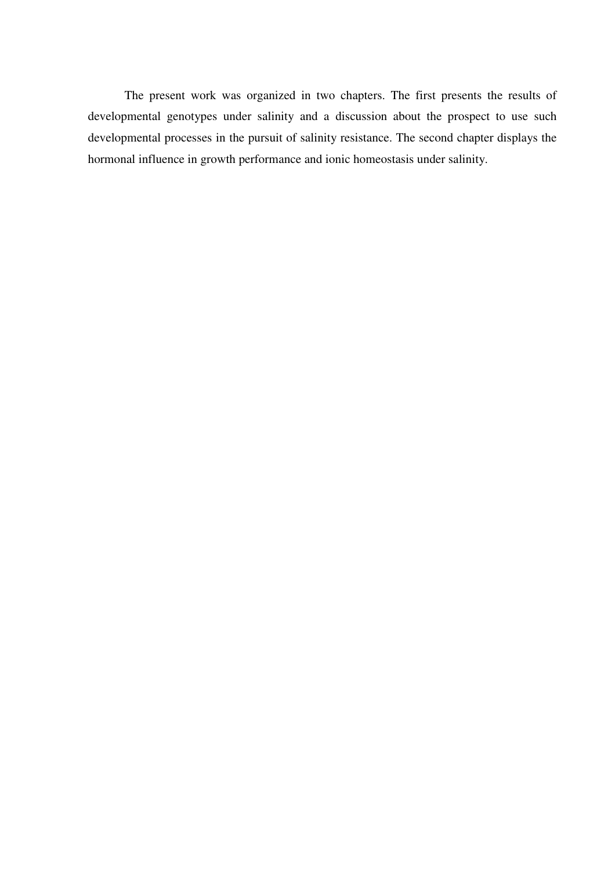The present work was organized in two chapters. The first presents the results of developmental genotypes under salinity and a discussion about the prospect to use such developmental processes in the pursuit of salinity resistance. The second chapter displays the hormonal influence in growth performance and ionic homeostasis under salinity.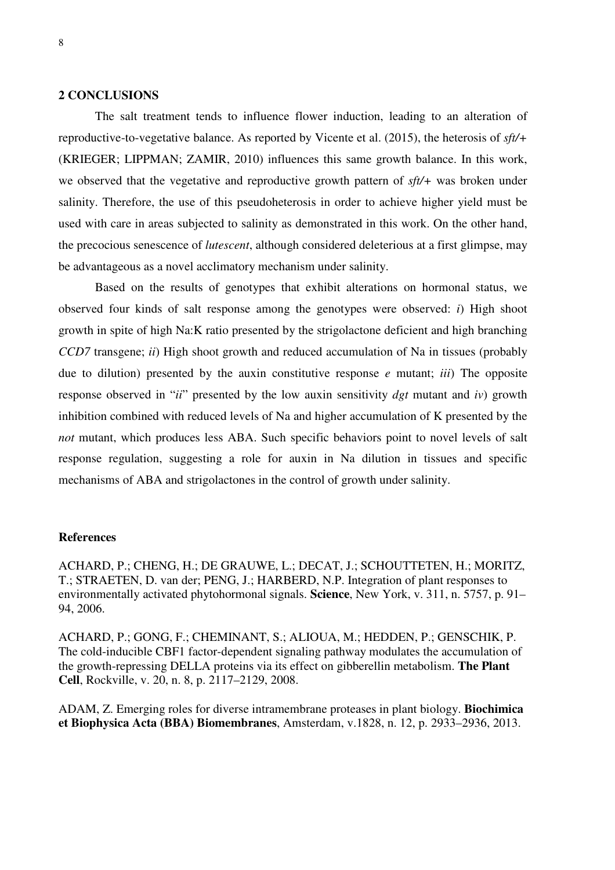### **2 CONCLUSIONS**

The salt treatment tends to influence flower induction, leading to an alteration of reproductive-to-vegetative balance. As reported by Vicente et al. (2015), the heterosis of *sft/+*  (KRIEGER; LIPPMAN; ZAMIR, 2010) influences this same growth balance. In this work, we observed that the vegetative and reproductive growth pattern of *sft/+* was broken under salinity. Therefore, the use of this pseudoheterosis in order to achieve higher yield must be used with care in areas subjected to salinity as demonstrated in this work. On the other hand, the precocious senescence of *lutescent*, although considered deleterious at a first glimpse, may be advantageous as a novel acclimatory mechanism under salinity.

Based on the results of genotypes that exhibit alterations on hormonal status, we observed four kinds of salt response among the genotypes were observed: *i*) High shoot growth in spite of high Na:K ratio presented by the strigolactone deficient and high branching *CCD7* transgene; *ii*) High shoot growth and reduced accumulation of Na in tissues (probably due to dilution) presented by the auxin constitutive response *e* mutant; *iii*) The opposite response observed in "*ii*" presented by the low auxin sensitivity *dgt* mutant and *iv*) growth inhibition combined with reduced levels of Na and higher accumulation of K presented by the *not* mutant, which produces less ABA. Such specific behaviors point to novel levels of salt response regulation, suggesting a role for auxin in Na dilution in tissues and specific mechanisms of ABA and strigolactones in the control of growth under salinity.

## **References**

ACHARD, P.; CHENG, H.; DE GRAUWE, L.; DECAT, J.; SCHOUTTETEN, H.; MORITZ, T.; STRAETEN, D. van der; PENG, J.; HARBERD, N.P. Integration of plant responses to environmentally activated phytohormonal signals. **Science**, New York, v. 311, n. 5757, p. 91– 94, 2006.

ACHARD, P.; GONG, F.; CHEMINANT, S.; ALIOUA, M.; HEDDEN, P.; GENSCHIK, P. The cold-inducible CBF1 factor-dependent signaling pathway modulates the accumulation of the growth-repressing DELLA proteins via its effect on gibberellin metabolism. **The Plant Cell**, Rockville, v. 20, n. 8, p. 2117–2129, 2008.

ADAM, Z. Emerging roles for diverse intramembrane proteases in plant biology. **Biochimica et Biophysica Acta (BBA) Biomembranes**, Amsterdam, v.1828, n. 12, p. 2933–2936, 2013.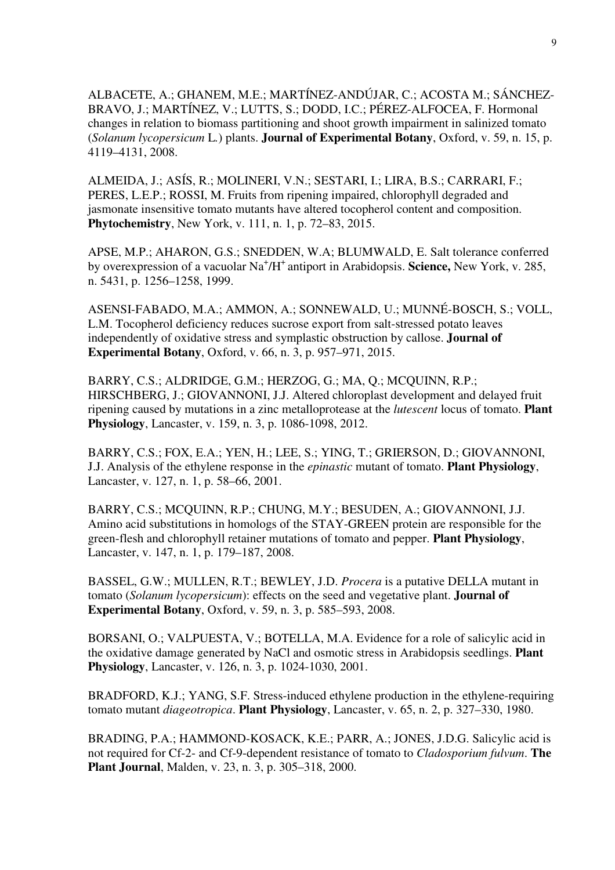ALBACETE, A.; GHANEM, M.E.; MARTÍNEZ-ANDÚJAR, C.; ACOSTA M.; SÁNCHEZ-BRAVO, J.; MARTÍNEZ, V.; LUTTS, S.; DODD, I.C.; PÉREZ-ALFOCEA, F. Hormonal changes in relation to biomass partitioning and shoot growth impairment in salinized tomato (*Solanum lycopersicum* L*.*) plants. **Journal of Experimental Botany**, Oxford, v. 59, n. 15, p. 4119–4131, 2008.

ALMEIDA, J.; ASÍS, R.; MOLINERI, V.N.; SESTARI, I.; LIRA, B.S.; CARRARI, F.; PERES, L.E.P.; ROSSI, M. Fruits from ripening impaired, chlorophyll degraded and jasmonate insensitive tomato mutants have altered tocopherol content and composition. **Phytochemistry**, New York, v. 111, n. 1, p. 72–83, 2015.

APSE, M.P.; AHARON, G.S.; SNEDDEN, W.A; BLUMWALD, E. Salt tolerance conferred by overexpression of a vacuolar Na<sup>+</sup>/H<sup>+</sup> antiport in Arabidopsis. Science, New York, v. 285, n. 5431, p. 1256–1258, 1999.

ASENSI-FABADO, M.A.; AMMON, A.; SONNEWALD, U.; MUNNÉ-BOSCH, S.; VOLL, L.M. Tocopherol deficiency reduces sucrose export from salt-stressed potato leaves independently of oxidative stress and symplastic obstruction by callose. **Journal of Experimental Botany**, Oxford, v. 66, n. 3, p. 957–971, 2015.

BARRY, C.S.; ALDRIDGE, G.M.; HERZOG, G.; MA, Q.; MCQUINN, R.P.; HIRSCHBERG, J.; GIOVANNONI, J.J. Altered chloroplast development and delayed fruit ripening caused by mutations in a zinc metalloprotease at the *lutescent* locus of tomato. **Plant Physiology**, Lancaster, v. 159, n. 3, p. 1086-1098, 2012.

BARRY, C.S.; FOX, E.A.; YEN, H.; LEE, S.; YING, T.; GRIERSON, D.; GIOVANNONI, J.J. Analysis of the ethylene response in the *epinastic* mutant of tomato. **Plant Physiology**, Lancaster, v. 127, n. 1, p. 58–66, 2001.

BARRY, C.S.; MCQUINN, R.P.; CHUNG, M.Y.; BESUDEN, A.; GIOVANNONI, J.J. Amino acid substitutions in homologs of the STAY-GREEN protein are responsible for the green-flesh and chlorophyll retainer mutations of tomato and pepper. **Plant Physiology**, Lancaster, v. 147, n. 1, p. 179–187, 2008.

BASSEL, G.W.; MULLEN, R.T.; BEWLEY, J.D. *Procera* is a putative DELLA mutant in tomato (*Solanum lycopersicum*): effects on the seed and vegetative plant. **Journal of Experimental Botany**, Oxford, v. 59, n. 3, p. 585–593, 2008.

BORSANI, O.; VALPUESTA, V.; BOTELLA, M.A. Evidence for a role of salicylic acid in the oxidative damage generated by NaCl and osmotic stress in Arabidopsis seedlings. **Plant Physiology**, Lancaster, v. 126, n. 3, p. 1024-1030, 2001.

BRADFORD, K.J.; YANG, S.F. Stress-induced ethylene production in the ethylene-requiring tomato mutant *diageotropica*. **Plant Physiology**, Lancaster, v. 65, n. 2, p. 327–330, 1980.

BRADING, P.A.; HAMMOND-KOSACK, K.E.; PARR, A.; JONES, J.D.G. Salicylic acid is not required for Cf-2- and Cf-9-dependent resistance of tomato to *Cladosporium fulvum*. **The Plant Journal**, Malden, v. 23, n. 3, p. 305–318, 2000.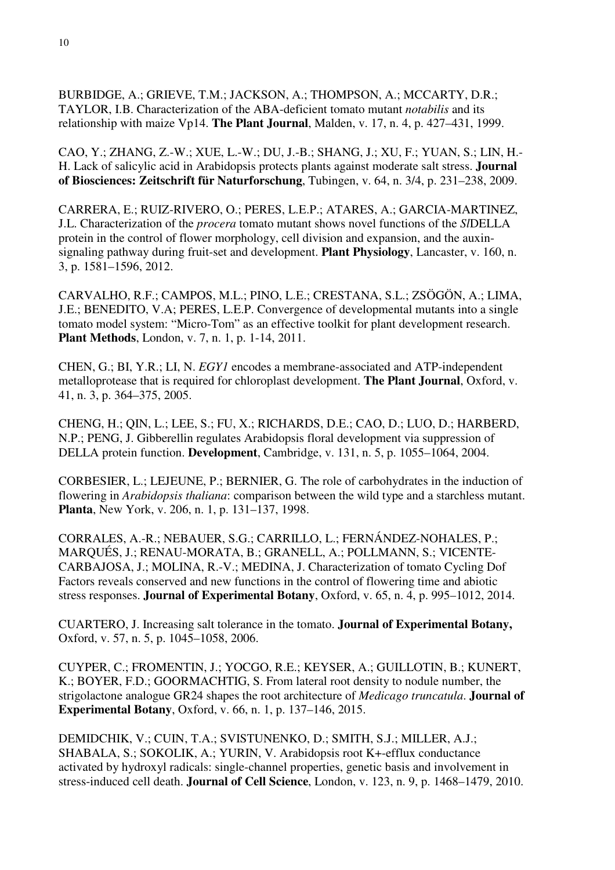BURBIDGE, A.; GRIEVE, T.M.; JACKSON, A.; THOMPSON, A.; MCCARTY, D.R.; TAYLOR, I.B. Characterization of the ABA-deficient tomato mutant *notabilis* and its relationship with maize Vp14. **The Plant Journal**, Malden, v. 17, n. 4, p. 427–431, 1999.

CAO, Y.; ZHANG, Z.-W.; XUE, L.-W.; DU, J.-B.; SHANG, J.; XU, F.; YUAN, S.; LIN, H.- H. Lack of salicylic acid in Arabidopsis protects plants against moderate salt stress. **Journal of Biosciences: Zeitschrift für Naturforschung**, Tubingen, v. 64, n. 3/4, p. 231–238, 2009.

CARRERA, E.; RUIZ-RIVERO, O.; PERES, L.E.P.; ATARES, A.; GARCIA-MARTINEZ, J.L. Characterization of the *procera* tomato mutant shows novel functions of the *Sl*DELLA protein in the control of flower morphology, cell division and expansion, and the auxinsignaling pathway during fruit-set and development. **Plant Physiology**, Lancaster, v. 160, n. 3, p. 1581–1596, 2012.

CARVALHO, R.F.; CAMPOS, M.L.; PINO, L.E.; CRESTANA, S.L.; ZSÖGÖN, A.; LIMA, J.E.; BENEDITO, V.A; PERES, L.E.P. Convergence of developmental mutants into a single tomato model system: "Micro-Tom" as an effective toolkit for plant development research. **Plant Methods**, London, v. 7, n. 1, p. 1-14, 2011.

CHEN, G.; BI, Y.R.; LI, N. *EGY1* encodes a membrane-associated and ATP-independent metalloprotease that is required for chloroplast development. **The Plant Journal**, Oxford, v. 41, n. 3, p. 364–375, 2005.

CHENG, H.; QIN, L.; LEE, S.; FU, X.; RICHARDS, D.E.; CAO, D.; LUO, D.; HARBERD, N.P.; PENG, J. Gibberellin regulates Arabidopsis floral development via suppression of DELLA protein function. **Development**, Cambridge, v. 131, n. 5, p. 1055–1064, 2004.

CORBESIER, L.; LEJEUNE, P.; BERNIER, G. The role of carbohydrates in the induction of flowering in *Arabidopsis thaliana*: comparison between the wild type and a starchless mutant. **Planta**, New York, v. 206, n. 1, p. 131–137, 1998.

CORRALES, A.-R.; NEBAUER, S.G.; CARRILLO, L.; FERNÁNDEZ-NOHALES, P.; MARQUÉS, J.; RENAU-MORATA, B.; GRANELL, A.; POLLMANN, S.; VICENTE-CARBAJOSA, J.; MOLINA, R.-V.; MEDINA, J. Characterization of tomato Cycling Dof Factors reveals conserved and new functions in the control of flowering time and abiotic stress responses. **Journal of Experimental Botany**, Oxford, v. 65, n. 4, p. 995–1012, 2014.

CUARTERO, J. Increasing salt tolerance in the tomato. **Journal of Experimental Botany,** Oxford, v. 57, n. 5, p. 1045–1058, 2006.

CUYPER, C.; FROMENTIN, J.; YOCGO, R.E.; KEYSER, A.; GUILLOTIN, B.; KUNERT, K.; BOYER, F.D.; GOORMACHTIG, S. From lateral root density to nodule number, the strigolactone analogue GR24 shapes the root architecture of *Medicago truncatula*. **Journal of Experimental Botany**, Oxford, v. 66, n. 1, p. 137–146, 2015.

DEMIDCHIK, V.; CUIN, T.A.; SVISTUNENKO, D.; SMITH, S.J.; MILLER, A.J.; SHABALA, S.; SOKOLIK, A.; YURIN, V. Arabidopsis root K+-efflux conductance activated by hydroxyl radicals: single-channel properties, genetic basis and involvement in stress-induced cell death. **Journal of Cell Science**, London, v. 123, n. 9, p. 1468–1479, 2010.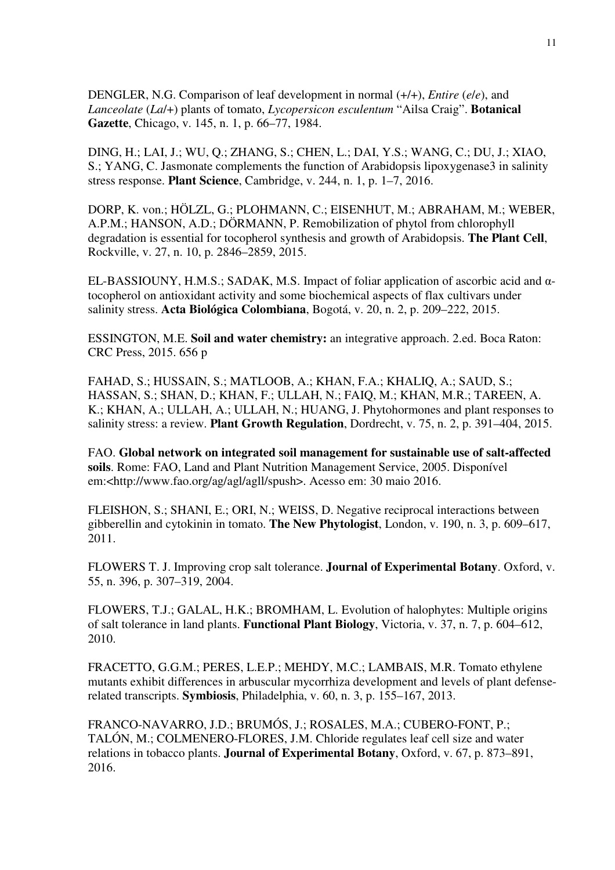DENGLER, N.G. Comparison of leaf development in normal (+/+), *Entire* (*e*/*e*), and *Lanceolate* (*La*/+) plants of tomato, *Lycopersicon esculentum* "Ailsa Craig". **Botanical Gazette**, Chicago, v. 145, n. 1, p. 66–77, 1984.

DING, H.; LAI, J.; WU, Q.; ZHANG, S.; CHEN, L.; DAI, Y.S.; WANG, C.; DU, J.; XIAO, S.; YANG, C. Jasmonate complements the function of Arabidopsis lipoxygenase3 in salinity stress response. **Plant Science**, Cambridge, v. 244, n. 1, p. 1–7, 2016.

DORP, K. von.; HÖLZL, G.; PLOHMANN, C.; EISENHUT, M.; ABRAHAM, M.; WEBER, A.P.M.; HANSON, A.D.; DÖRMANN, P. Remobilization of phytol from chlorophyll degradation is essential for tocopherol synthesis and growth of Arabidopsis. **The Plant Cell**, Rockville, v. 27, n. 10, p. 2846–2859, 2015.

EL-BASSIOUNY, H.M.S.; SADAK, M.S. Impact of foliar application of ascorbic acid and αtocopherol on antioxidant activity and some biochemical aspects of flax cultivars under salinity stress. **Acta Biológica Colombiana**, Bogotá, v. 20, n. 2, p. 209–222, 2015.

ESSINGTON, M.E. **Soil and water chemistry:** an integrative approach. 2.ed. Boca Raton: CRC Press, 2015. 656 p

FAHAD, S.; HUSSAIN, S.; MATLOOB, A.; KHAN, F.A.; KHALIQ, A.; SAUD, S.; HASSAN, S.; SHAN, D.; KHAN, F.; ULLAH, N.; FAIQ, M.; KHAN, M.R.; TAREEN, A. K.; KHAN, A.; ULLAH, A.; ULLAH, N.; HUANG, J. Phytohormones and plant responses to salinity stress: a review. **Plant Growth Regulation**, Dordrecht, v. 75, n. 2, p. 391–404, 2015.

FAO. **Global network on integrated soil management for sustainable use of salt-affected soils**. Rome: FAO, Land and Plant Nutrition Management Service, 2005. Disponível em:<http://www.fao.org/ag/agl/agll/spush>. Acesso em: 30 maio 2016.

FLEISHON, S.; SHANI, E.; ORI, N.; WEISS, D. Negative reciprocal interactions between gibberellin and cytokinin in tomato. **The New Phytologist**, London, v. 190, n. 3, p. 609–617, 2011.

FLOWERS T. J. Improving crop salt tolerance. **Journal of Experimental Botany**. Oxford, v. 55, n. 396, p. 307–319, 2004.

FLOWERS, T.J.; GALAL, H.K.; BROMHAM, L. Evolution of halophytes: Multiple origins of salt tolerance in land plants. **Functional Plant Biology**, Victoria, v. 37, n. 7, p. 604–612, 2010.

FRACETTO, G.G.M.; PERES, L.E.P.; MEHDY, M.C.; LAMBAIS, M.R. Tomato ethylene mutants exhibit differences in arbuscular mycorrhiza development and levels of plant defenserelated transcripts. **Symbiosis**, Philadelphia, v. 60, n. 3, p. 155–167, 2013.

FRANCO-NAVARRO, J.D.; BRUMÓS, J.; ROSALES, M.A.; CUBERO-FONT, P.; TALÓN, M.; COLMENERO-FLORES, J.M. Chloride regulates leaf cell size and water relations in tobacco plants. **Journal of Experimental Botany**, Oxford, v. 67, p. 873–891, 2016.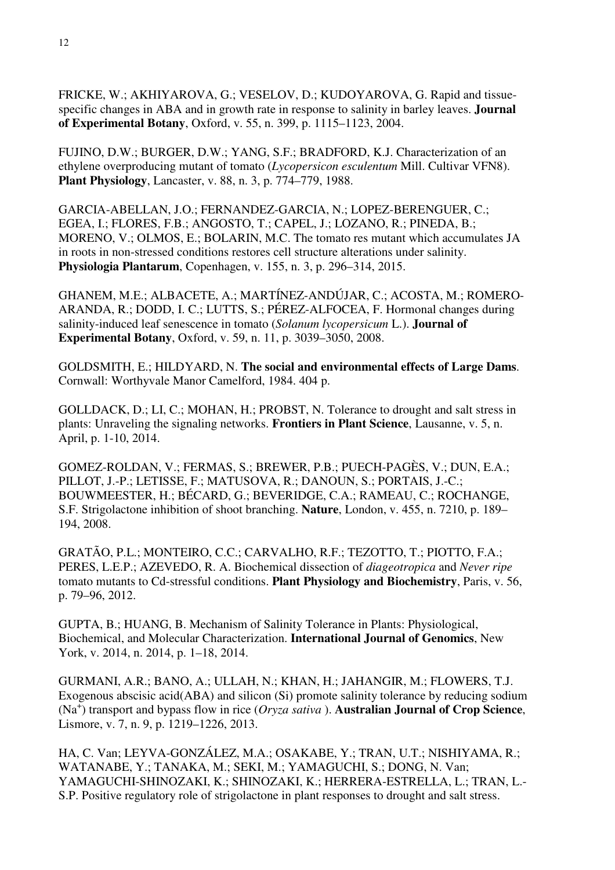FRICKE, W.; AKHIYAROVA, G.; VESELOV, D.; KUDOYAROVA, G. Rapid and tissuespecific changes in ABA and in growth rate in response to salinity in barley leaves. **Journal of Experimental Botany**, Oxford, v. 55, n. 399, p. 1115–1123, 2004.

FUJINO, D.W.; BURGER, D.W.; YANG, S.F.; BRADFORD, K.J. Characterization of an ethylene overproducing mutant of tomato (*Lycopersicon esculentum* Mill. Cultivar VFN8). **Plant Physiology**, Lancaster, v. 88, n. 3, p. 774–779, 1988.

GARCIA-ABELLAN, J.O.; FERNANDEZ-GARCIA, N.; LOPEZ-BERENGUER, C.; EGEA, I.; FLORES, F.B.; ANGOSTO, T.; CAPEL, J.; LOZANO, R.; PINEDA, B.; MORENO, V.; OLMOS, E.; BOLARIN, M.C. The tomato res mutant which accumulates JA in roots in non-stressed conditions restores cell structure alterations under salinity. **Physiologia Plantarum**, Copenhagen, v. 155, n. 3, p. 296–314, 2015.

GHANEM, M.E.; ALBACETE, A.; MARTÍNEZ-ANDÚJAR, C.; ACOSTA, M.; ROMERO-ARANDA, R.; DODD, I. C.; LUTTS, S.; PÉREZ-ALFOCEA, F. Hormonal changes during salinity-induced leaf senescence in tomato (*Solanum lycopersicum* L.). **Journal of Experimental Botany**, Oxford, v. 59, n. 11, p. 3039–3050, 2008.

GOLDSMITH, E.; HILDYARD, N. **The social and environmental effects of Large Dams**. Cornwall: Worthyvale Manor Camelford, 1984. 404 p.

GOLLDACK, D.; LI, C.; MOHAN, H.; PROBST, N. Tolerance to drought and salt stress in plants: Unraveling the signaling networks. **Frontiers in Plant Science**, Lausanne, v. 5, n. April, p. 1-10, 2014.

GOMEZ-ROLDAN, V.; FERMAS, S.; BREWER, P.B.; PUECH-PAGÈS, V.; DUN, E.A.; PILLOT, J.-P.; LETISSE, F.; MATUSOVA, R.; DANOUN, S.; PORTAIS, J.-C.; BOUWMEESTER, H.; BÉCARD, G.; BEVERIDGE, C.A.; RAMEAU, C.; ROCHANGE, S.F. Strigolactone inhibition of shoot branching. **Nature**, London, v. 455, n. 7210, p. 189– 194, 2008.

GRATÃO, P.L.; MONTEIRO, C.C.; CARVALHO, R.F.; TEZOTTO, T.; PIOTTO, F.A.; PERES, L.E.P.; AZEVEDO, R. A. Biochemical dissection of *diageotropica* and *Never ripe*  tomato mutants to Cd-stressful conditions. **Plant Physiology and Biochemistry**, Paris, v. 56, p. 79–96, 2012.

GUPTA, B.; HUANG, B. Mechanism of Salinity Tolerance in Plants: Physiological, Biochemical, and Molecular Characterization. **International Journal of Genomics**, New York, v. 2014, n. 2014, p. 1–18, 2014.

GURMANI, A.R.; BANO, A.; ULLAH, N.; KHAN, H.; JAHANGIR, M.; FLOWERS, T.J. Exogenous abscisic acid(ABA) and silicon (Si) promote salinity tolerance by reducing sodium (Na<sup>+</sup> ) transport and bypass flow in rice (*Oryza sativa* ). **Australian Journal of Crop Science**, Lismore, v. 7, n. 9, p. 1219–1226, 2013.

HA, C. Van; LEYVA-GONZÁLEZ, M.A.; OSAKABE, Y.; TRAN, U.T.; NISHIYAMA, R.; WATANABE, Y.; TANAKA, M.; SEKI, M.; YAMAGUCHI, S.; DONG, N. Van; YAMAGUCHI-SHINOZAKI, K.; SHINOZAKI, K.; HERRERA-ESTRELLA, L.; TRAN, L.- S.P. Positive regulatory role of strigolactone in plant responses to drought and salt stress.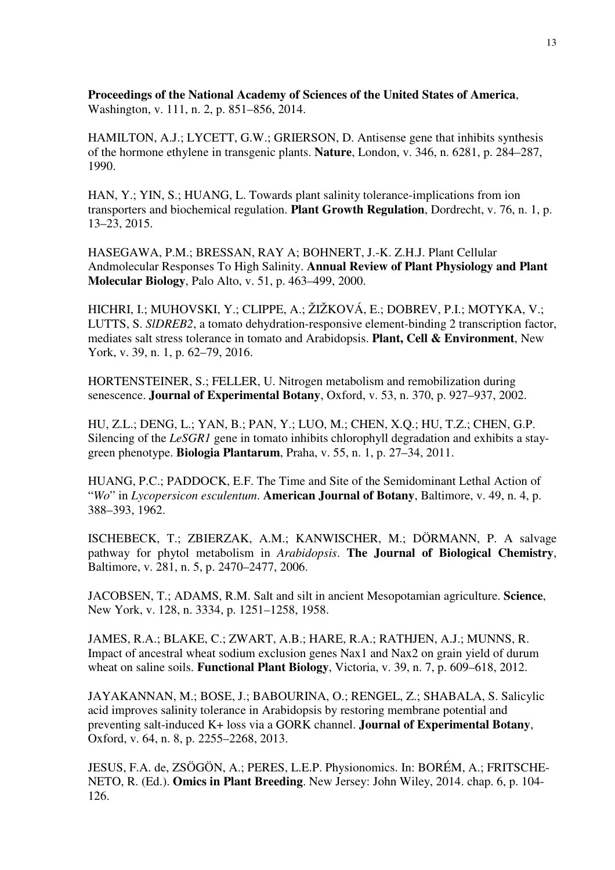**Proceedings of the National Academy of Sciences of the United States of America**, Washington, v. 111, n. 2, p. 851–856, 2014.

HAMILTON, A.J.; LYCETT, G.W.; GRIERSON, D. Antisense gene that inhibits synthesis of the hormone ethylene in transgenic plants. **Nature**, London, v. 346, n. 6281, p. 284–287, 1990.

HAN, Y.; YIN, S.; HUANG, L. Towards plant salinity tolerance-implications from ion transporters and biochemical regulation. **Plant Growth Regulation**, Dordrecht, v. 76, n. 1, p. 13–23, 2015.

HASEGAWA, P.M.; BRESSAN, RAY A; BOHNERT, J.-K. Z.H.J. Plant Cellular Andmolecular Responses To High Salinity. **Annual Review of Plant Physiology and Plant Molecular Biology**, Palo Alto, v. 51, p. 463–499, 2000.

HICHRI, I.; MUHOVSKI, Y.; CLIPPE, A.; ŽIŽKOVÁ, E.; DOBREV, P.I.; MOTYKA, V.; LUTTS, S. *SlDREB2*, a tomato dehydration-responsive element-binding 2 transcription factor, mediates salt stress tolerance in tomato and Arabidopsis. **Plant, Cell & Environment**, New York, v. 39, n. 1, p. 62–79, 2016.

HORTENSTEINER, S.; FELLER, U. Nitrogen metabolism and remobilization during senescence. **Journal of Experimental Botany**, Oxford, v. 53, n. 370, p. 927–937, 2002.

HU, Z.L.; DENG, L.; YAN, B.; PAN, Y.; LUO, M.; CHEN, X.Q.; HU, T.Z.; CHEN, G.P. Silencing of the *LeSGR1* gene in tomato inhibits chlorophyll degradation and exhibits a staygreen phenotype. **Biologia Plantarum**, Praha, v. 55, n. 1, p. 27–34, 2011.

HUANG, P.C.; PADDOCK, E.F. The Time and Site of the Semidominant Lethal Action of "*Wo*" in *Lycopersicon esculentum*. **American Journal of Botany**, Baltimore, v. 49, n. 4, p. 388–393, 1962.

ISCHEBECK, T.; ZBIERZAK, A.M.; KANWISCHER, M.; DÖRMANN, P. A salvage pathway for phytol metabolism in *Arabidopsis*. **The Journal of Biological Chemistry**, Baltimore, v. 281, n. 5, p. 2470–2477, 2006.

JACOBSEN, T.; ADAMS, R.M. Salt and silt in ancient Mesopotamian agriculture. **Science**, New York, v. 128, n. 3334, p. 1251–1258, 1958.

JAMES, R.A.; BLAKE, C.; ZWART, A.B.; HARE, R.A.; RATHJEN, A.J.; MUNNS, R. Impact of ancestral wheat sodium exclusion genes Nax1 and Nax2 on grain yield of durum wheat on saline soils. **Functional Plant Biology**, Victoria, v. 39, n. 7, p. 609–618, 2012.

JAYAKANNAN, M.; BOSE, J.; BABOURINA, O.; RENGEL, Z.; SHABALA, S. Salicylic acid improves salinity tolerance in Arabidopsis by restoring membrane potential and preventing salt-induced K+ loss via a GORK channel. **Journal of Experimental Botany**, Oxford, v. 64, n. 8, p. 2255–2268, 2013.

JESUS, F.A. de, ZSÖGÖN, A.; PERES, L.E.P. Physionomics. In: BORÉM, A.; FRITSCHE-NETO, R. (Ed.). **Omics in Plant Breeding**. New Jersey: John Wiley, 2014. chap. 6, p. 104- 126.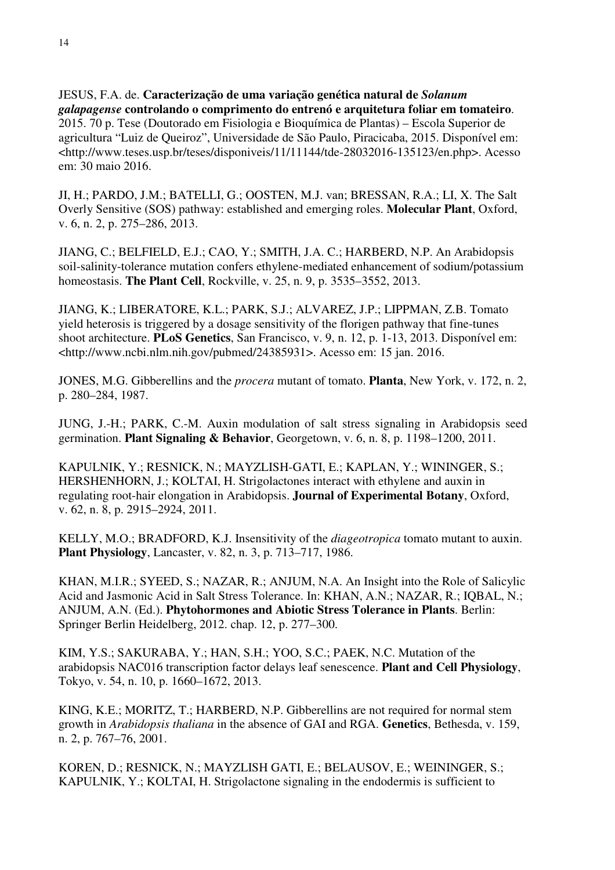JESUS, F.A. de. **Caracterização de uma variação genética natural de** *Solanum galapagense* **controlando o comprimento do entrenó e arquitetura foliar em tomateiro**. 2015. 70 p. Tese (Doutorado em Fisiologia e Bioquímica de Plantas) – Escola Superior de agricultura "Luiz de Queiroz", Universidade de São Paulo, Piracicaba, 2015. Disponível em: <http://www.teses.usp.br/teses/disponiveis/11/11144/tde-28032016-135123/en.php>. Acesso em: 30 maio 2016.

JI, H.; PARDO, J.M.; BATELLI, G.; OOSTEN, M.J. van; BRESSAN, R.A.; LI, X. The Salt Overly Sensitive (SOS) pathway: established and emerging roles. **Molecular Plant**, Oxford, v. 6, n. 2, p. 275–286, 2013.

JIANG, C.; BELFIELD, E.J.; CAO, Y.; SMITH, J.A. C.; HARBERD, N.P. An Arabidopsis soil-salinity-tolerance mutation confers ethylene-mediated enhancement of sodium/potassium homeostasis. **The Plant Cell**, Rockville, v. 25, n. 9, p. 3535–3552, 2013.

JIANG, K.; LIBERATORE, K.L.; PARK, S.J.; ALVAREZ, J.P.; LIPPMAN, Z.B. Tomato yield heterosis is triggered by a dosage sensitivity of the florigen pathway that fine-tunes shoot architecture. **PLoS Genetics**, San Francisco, v. 9, n. 12, p. 1-13, 2013. Disponível em: <http://www.ncbi.nlm.nih.gov/pubmed/24385931>. Acesso em: 15 jan. 2016.

JONES, M.G. Gibberellins and the *procera* mutant of tomato. **Planta**, New York, v. 172, n. 2, p. 280–284, 1987.

JUNG, J.-H.; PARK, C.-M. Auxin modulation of salt stress signaling in Arabidopsis seed germination. **Plant Signaling & Behavior**, Georgetown, v. 6, n. 8, p. 1198–1200, 2011.

KAPULNIK, Y.; RESNICK, N.; MAYZLISH-GATI, E.; KAPLAN, Y.; WININGER, S.; HERSHENHORN, J.; KOLTAI, H. Strigolactones interact with ethylene and auxin in regulating root-hair elongation in Arabidopsis. **Journal of Experimental Botany**, Oxford, v. 62, n. 8, p. 2915–2924, 2011.

KELLY, M.O.; BRADFORD, K.J. Insensitivity of the *diageotropica* tomato mutant to auxin. **Plant Physiology**, Lancaster, v. 82, n. 3, p. 713–717, 1986.

KHAN, M.I.R.; SYEED, S.; NAZAR, R.; ANJUM, N.A. An Insight into the Role of Salicylic Acid and Jasmonic Acid in Salt Stress Tolerance. In: KHAN, A.N.; NAZAR, R.; IQBAL, N.; ANJUM, A.N. (Ed.). **Phytohormones and Abiotic Stress Tolerance in Plants**. Berlin: Springer Berlin Heidelberg, 2012. chap. 12, p. 277–300.

KIM, Y.S.; SAKURABA, Y.; HAN, S.H.; YOO, S.C.; PAEK, N.C. Mutation of the arabidopsis NAC016 transcription factor delays leaf senescence. **Plant and Cell Physiology**, Tokyo, v. 54, n. 10, p. 1660–1672, 2013.

KING, K.E.; MORITZ, T.; HARBERD, N.P. Gibberellins are not required for normal stem growth in *Arabidopsis thaliana* in the absence of GAI and RGA. **Genetics**, Bethesda, v. 159, n. 2, p. 767–76, 2001.

KOREN, D.; RESNICK, N.; MAYZLISH GATI, E.; BELAUSOV, E.; WEININGER, S.; KAPULNIK, Y.; KOLTAI, H. Strigolactone signaling in the endodermis is sufficient to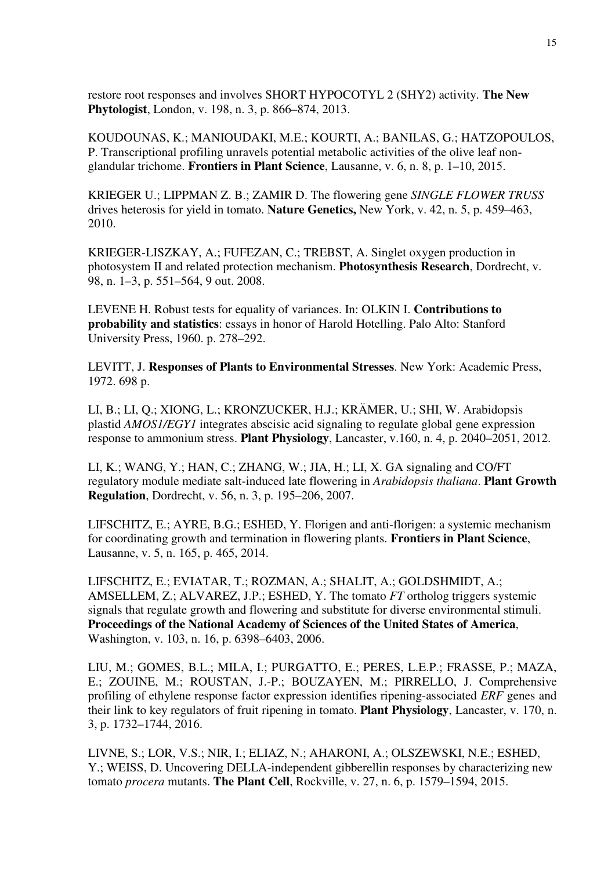restore root responses and involves SHORT HYPOCOTYL 2 (SHY2) activity. **The New Phytologist**, London, v. 198, n. 3, p. 866–874, 2013.

KOUDOUNAS, K.; MANIOUDAKI, M.E.; KOURTI, A.; BANILAS, G.; HATZOPOULOS, P. Transcriptional profiling unravels potential metabolic activities of the olive leaf nonglandular trichome. **Frontiers in Plant Science**, Lausanne, v. 6, n. 8, p. 1–10, 2015.

KRIEGER U.; LIPPMAN Z. B.; ZAMIR D. The flowering gene *SINGLE FLOWER TRUSS* drives heterosis for yield in tomato. **Nature Genetics,** New York, v. 42, n. 5, p. 459–463, 2010.

KRIEGER-LISZKAY, A.; FUFEZAN, C.; TREBST, A. Singlet oxygen production in photosystem II and related protection mechanism. **Photosynthesis Research**, Dordrecht, v. 98, n. 1–3, p. 551–564, 9 out. 2008.

LEVENE H. Robust tests for equality of variances. In: OLKIN I. **Contributions to probability and statistics**: essays in honor of Harold Hotelling. Palo Alto: Stanford University Press, 1960. p. 278–292.

LEVITT, J. **Responses of Plants to Environmental Stresses**. New York: Academic Press, 1972. 698 p.

LI, B.; LI, Q.; XIONG, L.; KRONZUCKER, H.J.; KRÄMER, U.; SHI, W. Arabidopsis plastid *AMOS1/EGY1* integrates abscisic acid signaling to regulate global gene expression response to ammonium stress. **Plant Physiology**, Lancaster, v.160, n. 4, p. 2040–2051, 2012.

LI, K.; WANG, Y.; HAN, C.; ZHANG, W.; JIA, H.; LI, X. GA signaling and CO/FT regulatory module mediate salt-induced late flowering in *Arabidopsis thaliana*. **Plant Growth Regulation**, Dordrecht, v. 56, n. 3, p. 195–206, 2007.

LIFSCHITZ, E.; AYRE, B.G.; ESHED, Y. Florigen and anti-florigen: a systemic mechanism for coordinating growth and termination in flowering plants. **Frontiers in Plant Science**, Lausanne, v. 5, n. 165, p. 465, 2014.

LIFSCHITZ, E.; EVIATAR, T.; ROZMAN, A.; SHALIT, A.; GOLDSHMIDT, A.; AMSELLEM, Z.; ALVAREZ, J.P.; ESHED, Y. The tomato *FT* ortholog triggers systemic signals that regulate growth and flowering and substitute for diverse environmental stimuli. **Proceedings of the National Academy of Sciences of the United States of America**, Washington, v. 103, n. 16, p. 6398–6403, 2006.

LIU, M.; GOMES, B.L.; MILA, I.; PURGATTO, E.; PERES, L.E.P.; FRASSE, P.; MAZA, E.; ZOUINE, M.; ROUSTAN, J.-P.; BOUZAYEN, M.; PIRRELLO, J. Comprehensive profiling of ethylene response factor expression identifies ripening-associated *ERF* genes and their link to key regulators of fruit ripening in tomato. **Plant Physiology**, Lancaster, v. 170, n. 3, p. 1732–1744, 2016.

LIVNE, S.; LOR, V.S.; NIR, I.; ELIAZ, N.; AHARONI, A.; OLSZEWSKI, N.E.; ESHED, Y.; WEISS, D. Uncovering DELLA-independent gibberellin responses by characterizing new tomato *procera* mutants. **The Plant Cell**, Rockville, v. 27, n. 6, p. 1579–1594, 2015.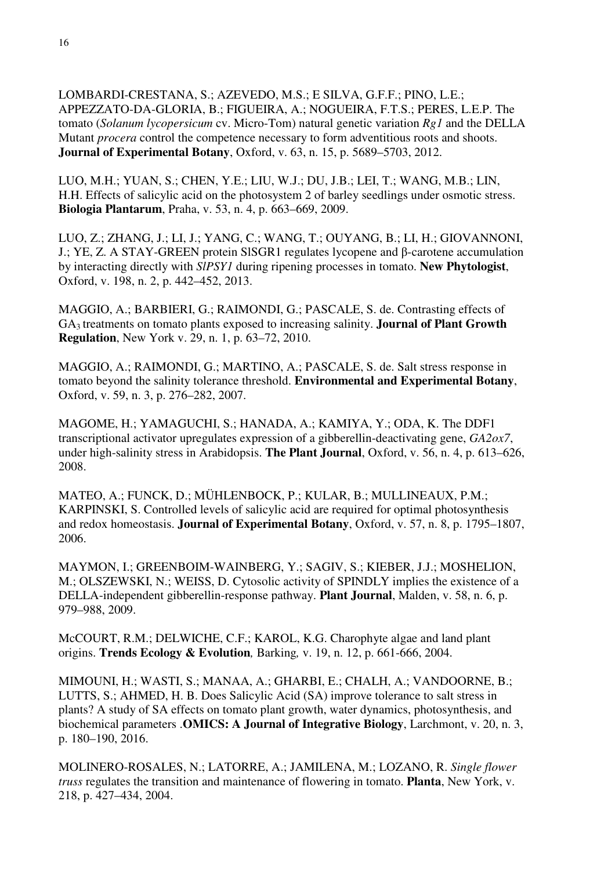LOMBARDI-CRESTANA, S.; AZEVEDO, M.S.; E SILVA, G.F.F.; PINO, L.E.; APPEZZATO-DA-GLORIA, B.; FIGUEIRA, A.; NOGUEIRA, F.T.S.; PERES, L.E.P. The tomato (*Solanum lycopersicum* cv. Micro-Tom) natural genetic variation *Rg1* and the DELLA Mutant *procera* control the competence necessary to form adventitious roots and shoots. **Journal of Experimental Botany**, Oxford, v. 63, n. 15, p. 5689–5703, 2012.

LUO, M.H.; YUAN, S.; CHEN, Y.E.; LIU, W.J.; DU, J.B.; LEI, T.; WANG, M.B.; LIN, H.H. Effects of salicylic acid on the photosystem 2 of barley seedlings under osmotic stress. **Biologia Plantarum**, Praha, v. 53, n. 4, p. 663–669, 2009.

LUO, Z.; ZHANG, J.; LI, J.; YANG, C.; WANG, T.; OUYANG, B.; LI, H.; GIOVANNONI, J.; YE, Z. A STAY-GREEN protein SlSGR1 regulates lycopene and β-carotene accumulation by interacting directly with *SlPSY1* during ripening processes in tomato. **New Phytologist**, Oxford, v. 198, n. 2, p. 442–452, 2013.

MAGGIO, A.; BARBIERI, G.; RAIMONDI, G.; PASCALE, S. de. Contrasting effects of GA3 treatments on tomato plants exposed to increasing salinity. **Journal of Plant Growth Regulation**, New York v. 29, n. 1, p. 63–72, 2010.

MAGGIO, A.; RAIMONDI, G.; MARTINO, A.; PASCALE, S. de. Salt stress response in tomato beyond the salinity tolerance threshold. **Environmental and Experimental Botany**, Oxford, v. 59, n. 3, p. 276–282, 2007.

MAGOME, H.; YAMAGUCHI, S.; HANADA, A.; KAMIYA, Y.; ODA, K. The DDF1 transcriptional activator upregulates expression of a gibberellin-deactivating gene, *GA2ox7*, under high-salinity stress in Arabidopsis. **The Plant Journal**, Oxford, v. 56, n. 4, p. 613–626, 2008.

MATEO, A.; FUNCK, D.; MÜHLENBOCK, P.; KULAR, B.; MULLINEAUX, P.M.; KARPINSKI, S. Controlled levels of salicylic acid are required for optimal photosynthesis and redox homeostasis. **Journal of Experimental Botany**, Oxford, v. 57, n. 8, p. 1795–1807, 2006.

MAYMON, I.; GREENBOIM-WAINBERG, Y.; SAGIV, S.; KIEBER, J.J.; MOSHELION, M.; OLSZEWSKI, N.; WEISS, D. Cytosolic activity of SPINDLY implies the existence of a DELLA-independent gibberellin-response pathway. **Plant Journal**, Malden, v. 58, n. 6, p. 979–988, 2009.

McCOURT, R.M.; DELWICHE, C.F.; KAROL, K.G. Charophyte algae and land plant origins. **Trends Ecology & Evolution***,* Barking*,* v. 19, n. 12, p. 661-666, 2004.

MIMOUNI, H.; WASTI, S.; MANAA, A.; GHARBI, E.; CHALH, A.; VANDOORNE, B.; LUTTS, S.; AHMED, H. B. Does Salicylic Acid (SA) improve tolerance to salt stress in plants? A study of SA effects on tomato plant growth, water dynamics, photosynthesis, and biochemical parameters .**OMICS: A Journal of Integrative Biology**, Larchmont, v. 20, n. 3, p. 180–190, 2016.

MOLINERO-ROSALES, N.; LATORRE, A.; JAMILENA, M.; LOZANO, R. *Single flower truss* regulates the transition and maintenance of flowering in tomato. **Planta**, New York, v. 218, p. 427–434, 2004.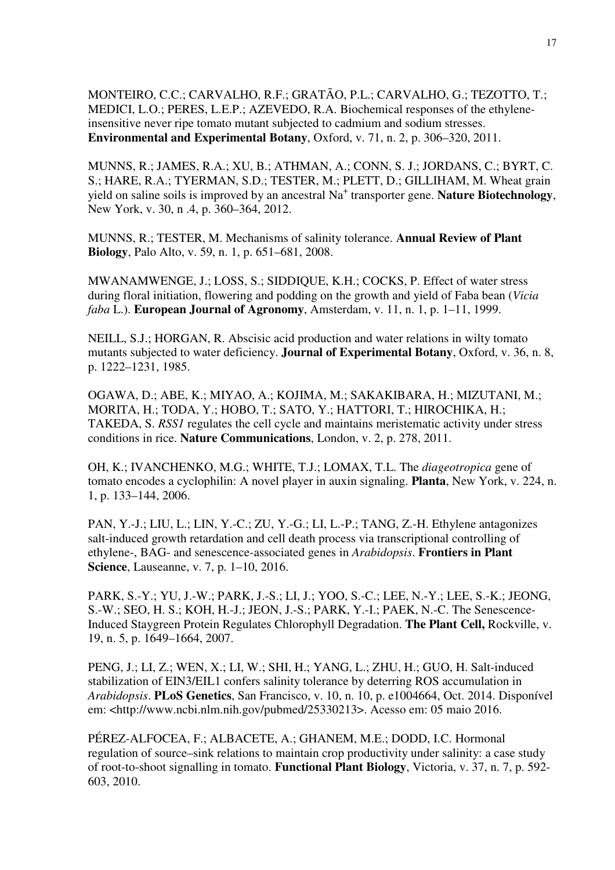MONTEIRO, C.C.; CARVALHO, R.F.; GRATÃO, P.L.; CARVALHO, G.; TEZOTTO, T.; MEDICI, L.O.; PERES, L.E.P.; AZEVEDO, R.A. Biochemical responses of the ethyleneinsensitive never ripe tomato mutant subjected to cadmium and sodium stresses. **Environmental and Experimental Botany**, Oxford, v. 71, n. 2, p. 306–320, 2011.

MUNNS, R.; JAMES, R.A.; XU, B.; ATHMAN, A.; CONN, S. J.; JORDANS, C.; BYRT, C. S.; HARE, R.A.; TYERMAN, S.D.; TESTER, M.; PLETT, D.; GILLIHAM, M. Wheat grain yield on saline soils is improved by an ancestral Na + transporter gene. **Nature Biotechnology**, New York, v. 30, n .4, p. 360–364, 2012.

MUNNS, R.; TESTER, M. Mechanisms of salinity tolerance. **Annual Review of Plant Biology**, Palo Alto, v. 59, n. 1, p. 651–681, 2008.

MWANAMWENGE, J.; LOSS, S.; SIDDIQUE, K.H.; COCKS, P. Effect of water stress during floral initiation, flowering and podding on the growth and yield of Faba bean (*Vicia faba* L.). **European Journal of Agronomy**, Amsterdam, v. 11, n. 1, p. 1–11, 1999.

NEILL, S.J.; HORGAN, R. Abscisic acid production and water relations in wilty tomato mutants subjected to water deficiency. **Journal of Experimental Botany**, Oxford, v. 36, n. 8, p. 1222–1231, 1985.

OGAWA, D.; ABE, K.; MIYAO, A.; KOJIMA, M.; SAKAKIBARA, H.; MIZUTANI, M.; MORITA, H.; TODA, Y.; HOBO, T.; SATO, Y.; HATTORI, T.; HIROCHIKA, H.; TAKEDA, S. *RSS1* regulates the cell cycle and maintains meristematic activity under stress conditions in rice. **Nature Communications**, London, v. 2, p. 278, 2011.

OH, K.; IVANCHENKO, M.G.; WHITE, T.J.; LOMAX, T.L. The *diageotropica* gene of tomato encodes a cyclophilin: A novel player in auxin signaling. **Planta**, New York, v. 224, n. 1, p. 133–144, 2006.

PAN, Y.-J.; LIU, L.; LIN, Y.-C.; ZU, Y.-G.; LI, L.-P.; TANG, Z.-H. Ethylene antagonizes salt-induced growth retardation and cell death process via transcriptional controlling of ethylene-, BAG- and senescence-associated genes in *Arabidopsis*. **Frontiers in Plant Science**, Lauseanne, v. 7, p. 1–10, 2016.

PARK, S.-Y.; YU, J.-W.; PARK, J.-S.; LI, J.; YOO, S.-C.; LEE, N.-Y.; LEE, S.-K.; JEONG, S.-W.; SEO, H. S.; KOH, H.-J.; JEON, J.-S.; PARK, Y.-I.; PAEK, N.-C. The Senescence-Induced Staygreen Protein Regulates Chlorophyll Degradation. **The Plant Cell,** Rockville, v. 19, n. 5, p. 1649–1664, 2007.

PENG, J.; LI, Z.; WEN, X.; LI, W.; SHI, H.; YANG, L.; ZHU, H.; GUO, H. Salt-induced stabilization of EIN3/EIL1 confers salinity tolerance by deterring ROS accumulation in *Arabidopsis*. **PLoS Genetics**, San Francisco, v. 10, n. 10, p. e1004664, Oct. 2014. Disponível em: <http://www.ncbi.nlm.nih.gov/pubmed/25330213>. Acesso em: 05 maio 2016.

PÉREZ-ALFOCEA, F.; ALBACETE, A.; GHANEM, M.E.; DODD, I.C. Hormonal regulation of source–sink relations to maintain crop productivity under salinity: a case study of root-to-shoot signalling in tomato. **Functional Plant Biology**, Victoria, v. 37, n. 7, p. 592- 603, 2010.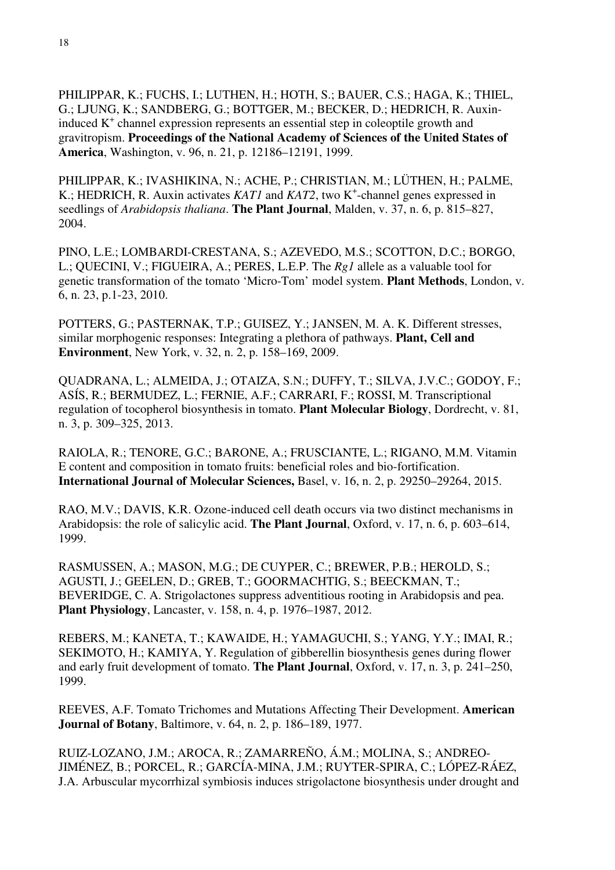PHILIPPAR, K.; FUCHS, I.; LUTHEN, H.; HOTH, S.; BAUER, C.S.; HAGA, K.; THIEL, G.; LJUNG, K.; SANDBERG, G.; BOTTGER, M.; BECKER, D.; HEDRICH, R. Auxininduced K<sup>+</sup> channel expression represents an essential step in coleoptile growth and gravitropism. **Proceedings of the National Academy of Sciences of the United States of America**, Washington, v. 96, n. 21, p. 12186–12191, 1999.

PHILIPPAR, K.; IVASHIKINA, N.; ACHE, P.; CHRISTIAN, M.; LÜTHEN, H.; PALME, K.; HEDRICH, R. Auxin activates *KAT1* and *KAT2*, two K<sup>+</sup>-channel genes expressed in seedlings of *Arabidopsis thaliana*. **The Plant Journal**, Malden, v. 37, n. 6, p. 815–827, 2004.

PINO, L.E.; LOMBARDI-CRESTANA, S.; AZEVEDO, M.S.; SCOTTON, D.C.; BORGO, L.; QUECINI, V.; FIGUEIRA, A.; PERES, L.E.P. The *Rg1* allele as a valuable tool for genetic transformation of the tomato 'Micro-Tom' model system. **Plant Methods**, London, v. 6, n. 23, p.1-23, 2010.

POTTERS, G.; PASTERNAK, T.P.; GUISEZ, Y.; JANSEN, M. A. K. Different stresses, similar morphogenic responses: Integrating a plethora of pathways. **Plant, Cell and Environment**, New York, v. 32, n. 2, p. 158–169, 2009.

QUADRANA, L.; ALMEIDA, J.; OTAIZA, S.N.; DUFFY, T.; SILVA, J.V.C.; GODOY, F.; ASÍS, R.; BERMUDEZ, L.; FERNIE, A.F.; CARRARI, F.; ROSSI, M. Transcriptional regulation of tocopherol biosynthesis in tomato. **Plant Molecular Biology**, Dordrecht, v. 81, n. 3, p. 309–325, 2013.

RAIOLA, R.; TENORE, G.C.; BARONE, A.; FRUSCIANTE, L.; RIGANO, M.M. Vitamin E content and composition in tomato fruits: beneficial roles and bio-fortification. **International Journal of Molecular Sciences,** Basel, v. 16, n. 2, p. 29250–29264, 2015.

RAO, M.V.; DAVIS, K.R. Ozone-induced cell death occurs via two distinct mechanisms in Arabidopsis: the role of salicylic acid. **The Plant Journal**, Oxford, v. 17, n. 6, p. 603–614, 1999.

RASMUSSEN, A.; MASON, M.G.; DE CUYPER, C.; BREWER, P.B.; HEROLD, S.; AGUSTI, J.; GEELEN, D.; GREB, T.; GOORMACHTIG, S.; BEECKMAN, T.; BEVERIDGE, C. A. Strigolactones suppress adventitious rooting in Arabidopsis and pea. **Plant Physiology**, Lancaster, v. 158, n. 4, p. 1976–1987, 2012.

REBERS, M.; KANETA, T.; KAWAIDE, H.; YAMAGUCHI, S.; YANG, Y.Y.; IMAI, R.; SEKIMOTO, H.; KAMIYA, Y. Regulation of gibberellin biosynthesis genes during flower and early fruit development of tomato. **The Plant Journal**, Oxford, v. 17, n. 3, p. 241–250, 1999.

REEVES, A.F. Tomato Trichomes and Mutations Affecting Their Development. **American Journal of Botany**, Baltimore, v. 64, n. 2, p. 186–189, 1977.

RUIZ-LOZANO, J.M.; AROCA, R.; ZAMARREÑO, Á.M.; MOLINA, S.; ANDREO-JIMÉNEZ, B.; PORCEL, R.; GARCÍA-MINA, J.M.; RUYTER-SPIRA, C.; LÓPEZ-RÁEZ, J.A. Arbuscular mycorrhizal symbiosis induces strigolactone biosynthesis under drought and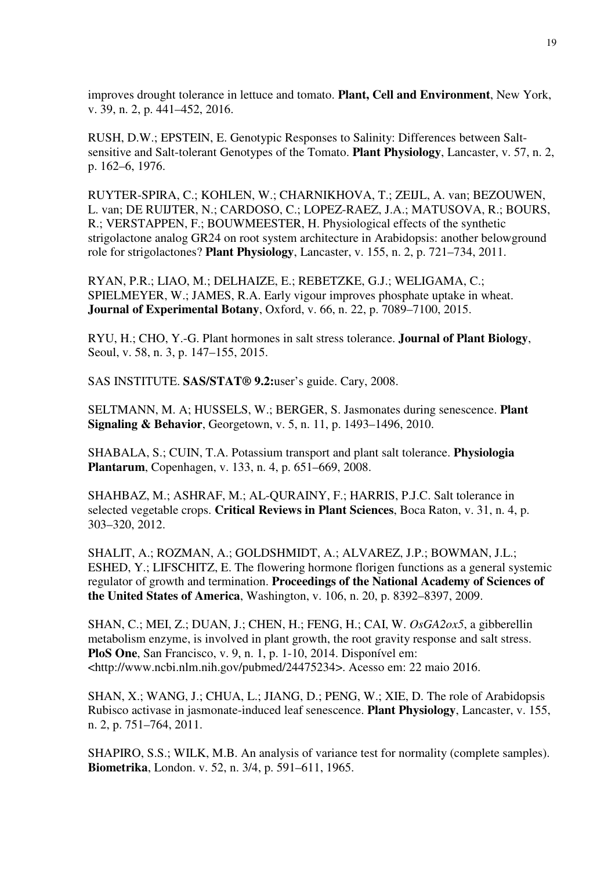improves drought tolerance in lettuce and tomato. **Plant, Cell and Environment**, New York, v. 39, n. 2, p. 441–452, 2016.

RUSH, D.W.; EPSTEIN, E. Genotypic Responses to Salinity: Differences between Saltsensitive and Salt-tolerant Genotypes of the Tomato. **Plant Physiology**, Lancaster, v. 57, n. 2, p. 162–6, 1976.

RUYTER-SPIRA, C.; KOHLEN, W.; CHARNIKHOVA, T.; ZEIJL, A. van; BEZOUWEN, L. van; DE RUIJTER, N.; CARDOSO, C.; LOPEZ-RAEZ, J.A.; MATUSOVA, R.; BOURS, R.; VERSTAPPEN, F.; BOUWMEESTER, H. Physiological effects of the synthetic strigolactone analog GR24 on root system architecture in Arabidopsis: another belowground role for strigolactones? **Plant Physiology**, Lancaster, v. 155, n. 2, p. 721–734, 2011.

RYAN, P.R.; LIAO, M.; DELHAIZE, E.; REBETZKE, G.J.; WELIGAMA, C.; SPIELMEYER, W.; JAMES, R.A. Early vigour improves phosphate uptake in wheat. **Journal of Experimental Botany**, Oxford, v. 66, n. 22, p. 7089–7100, 2015.

RYU, H.; CHO, Y.-G. Plant hormones in salt stress tolerance. **Journal of Plant Biology**, Seoul, v. 58, n. 3, p. 147–155, 2015.

SAS INSTITUTE. **SAS/STAT® 9.2:**user's guide. Cary, 2008.

SELTMANN, M. A; HUSSELS, W.; BERGER, S. Jasmonates during senescence. **Plant Signaling & Behavior**, Georgetown, v. 5, n. 11, p. 1493–1496, 2010.

SHABALA, S.; CUIN, T.A. Potassium transport and plant salt tolerance. **Physiologia Plantarum**, Copenhagen, v. 133, n. 4, p. 651–669, 2008.

SHAHBAZ, M.; ASHRAF, M.; AL-QURAINY, F.; HARRIS, P.J.C. Salt tolerance in selected vegetable crops. **Critical Reviews in Plant Sciences**, Boca Raton, v. 31, n. 4, p. 303–320, 2012.

SHALIT, A.; ROZMAN, A.; GOLDSHMIDT, A.; ALVAREZ, J.P.; BOWMAN, J.L.; ESHED, Y.; LIFSCHITZ, E. The flowering hormone florigen functions as a general systemic regulator of growth and termination. **Proceedings of the National Academy of Sciences of the United States of America**, Washington, v. 106, n. 20, p. 8392–8397, 2009.

SHAN, C.; MEI, Z.; DUAN, J.; CHEN, H.; FENG, H.; CAI, W. *OsGA2ox5*, a gibberellin metabolism enzyme, is involved in plant growth, the root gravity response and salt stress. **PloS One**, San Francisco, v. 9, n. 1, p. 1-10, 2014. Disponível em: <http://www.ncbi.nlm.nih.gov/pubmed/24475234>. Acesso em: 22 maio 2016.

SHAN, X.; WANG, J.; CHUA, L.; JIANG, D.; PENG, W.; XIE, D. The role of Arabidopsis Rubisco activase in jasmonate-induced leaf senescence. **Plant Physiology**, Lancaster, v. 155, n. 2, p. 751–764, 2011.

SHAPIRO, S.S.; WILK, M.B. An analysis of variance test for normality (complete samples). **Biometrika**, London. v. 52, n. 3/4, p. 591–611, 1965.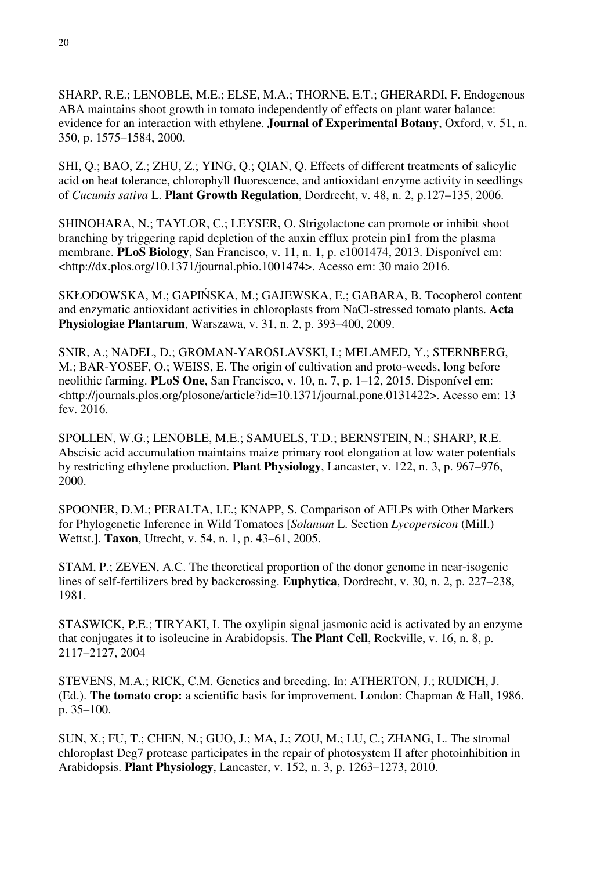SHARP, R.E.; LENOBLE, M.E.; ELSE, M.A.; THORNE, E.T.; GHERARDI, F. Endogenous ABA maintains shoot growth in tomato independently of effects on plant water balance: evidence for an interaction with ethylene. **Journal of Experimental Botany**, Oxford, v. 51, n. 350, p. 1575–1584, 2000.

SHI, Q.; BAO, Z.; ZHU, Z.; YING, Q.; QIAN, Q. Effects of different treatments of salicylic acid on heat tolerance, chlorophyll fluorescence, and antioxidant enzyme activity in seedlings of *Cucumis sativa* L. **Plant Growth Regulation**, Dordrecht, v. 48, n. 2, p.127–135, 2006.

SHINOHARA, N.; TAYLOR, C.; LEYSER, O. Strigolactone can promote or inhibit shoot branching by triggering rapid depletion of the auxin efflux protein pin1 from the plasma membrane. **PLoS Biology**, San Francisco, v. 11, n. 1, p. e1001474, 2013. Disponível em: <http://dx.plos.org/10.1371/journal.pbio.1001474>. Acesso em: 30 maio 2016.

SKŁODOWSKA, M.; GAPIŃSKA, M.; GAJEWSKA, E.; GABARA, B. Tocopherol content and enzymatic antioxidant activities in chloroplasts from NaCl-stressed tomato plants. **Acta Physiologiae Plantarum**, Warszawa, v. 31, n. 2, p. 393–400, 2009.

SNIR, A.; NADEL, D.; GROMAN-YAROSLAVSKI, I.; MELAMED, Y.; STERNBERG, M.; BAR-YOSEF, O.; WEISS, E. The origin of cultivation and proto-weeds, long before neolithic farming. **PLoS One**, San Francisco, v. 10, n. 7, p. 1–12, 2015. Disponível em: <http://journals.plos.org/plosone/article?id=10.1371/journal.pone.0131422>. Acesso em: 13 fev. 2016.

SPOLLEN, W.G.; LENOBLE, M.E.; SAMUELS, T.D.; BERNSTEIN, N.; SHARP, R.E. Abscisic acid accumulation maintains maize primary root elongation at low water potentials by restricting ethylene production. **Plant Physiology**, Lancaster, v. 122, n. 3, p. 967–976, 2000.

SPOONER, D.M.; PERALTA, I.E.; KNAPP, S. Comparison of AFLPs with Other Markers for Phylogenetic Inference in Wild Tomatoes [*Solanum* L. Section *Lycopersicon* (Mill.) Wettst.]. **Taxon**, Utrecht, v. 54, n. 1, p. 43–61, 2005.

STAM, P.; ZEVEN, A.C. The theoretical proportion of the donor genome in near-isogenic lines of self-fertilizers bred by backcrossing. **Euphytica**, Dordrecht, v. 30, n. 2, p. 227–238, 1981.

STASWICK, P.E.; TIRYAKI, I. The oxylipin signal jasmonic acid is activated by an enzyme that conjugates it to isoleucine in Arabidopsis. **The Plant Cell**, Rockville, v. 16, n. 8, p. 2117–2127, 2004

STEVENS, M.A.; RICK, C.M. Genetics and breeding. In: ATHERTON, J.; RUDICH, J. (Ed.). **The tomato crop:** a scientific basis for improvement. London: Chapman & Hall, 1986. p. 35–100.

SUN, X.; FU, T.; CHEN, N.; GUO, J.; MA, J.; ZOU, M.; LU, C.; ZHANG, L. The stromal chloroplast Deg7 protease participates in the repair of photosystem II after photoinhibition in Arabidopsis. **Plant Physiology**, Lancaster, v. 152, n. 3, p. 1263–1273, 2010.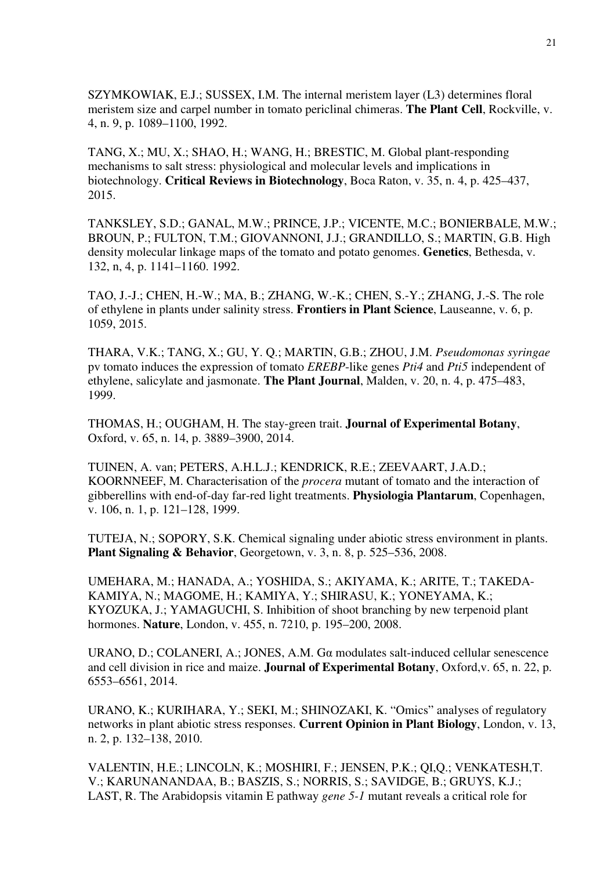SZYMKOWIAK, E.J.; SUSSEX, I.M. The internal meristem layer (L3) determines floral meristem size and carpel number in tomato periclinal chimeras. **The Plant Cell**, Rockville, v. 4, n. 9, p. 1089–1100, 1992.

TANG, X.; MU, X.; SHAO, H.; WANG, H.; BRESTIC, M. Global plant-responding mechanisms to salt stress: physiological and molecular levels and implications in biotechnology. **Critical Reviews in Biotechnology**, Boca Raton, v. 35, n. 4, p. 425–437, 2015.

TANKSLEY, S.D.; GANAL, M.W.; PRINCE, J.P.; VICENTE, M.C.; BONIERBALE, M.W.; BROUN, P.; FULTON, T.M.; GIOVANNONI, J.J.; GRANDILLO, S.; MARTIN, G.B. High density molecular linkage maps of the tomato and potato genomes. **Genetics**, Bethesda, v. 132, n, 4, p. 1141–1160. 1992.

TAO, J.-J.; CHEN, H.-W.; MA, B.; ZHANG, W.-K.; CHEN, S.-Y.; ZHANG, J.-S. The role of ethylene in plants under salinity stress. **Frontiers in Plant Science**, Lauseanne, v. 6, p. 1059, 2015.

THARA, V.K.; TANG, X.; GU, Y. Q.; MARTIN, G.B.; ZHOU, J.M. *Pseudomonas syringae*  pv tomato induces the expression of tomato *EREBP*-like genes *Pti4* and *Pti5* independent of ethylene, salicylate and jasmonate. **The Plant Journal**, Malden, v. 20, n. 4, p. 475–483, 1999.

THOMAS, H.; OUGHAM, H. The stay-green trait. **Journal of Experimental Botany**, Oxford, v. 65, n. 14, p. 3889–3900, 2014.

TUINEN, A. van; PETERS, A.H.L.J.; KENDRICK, R.E.; ZEEVAART, J.A.D.; KOORNNEEF, M. Characterisation of the *procera* mutant of tomato and the interaction of gibberellins with end-of-day far-red light treatments. **Physiologia Plantarum**, Copenhagen, v. 106, n. 1, p. 121–128, 1999.

TUTEJA, N.; SOPORY, S.K. Chemical signaling under abiotic stress environment in plants. **Plant Signaling & Behavior**, Georgetown, v. 3, n. 8, p. 525–536, 2008.

UMEHARA, M.; HANADA, A.; YOSHIDA, S.; AKIYAMA, K.; ARITE, T.; TAKEDA-KAMIYA, N.; MAGOME, H.; KAMIYA, Y.; SHIRASU, K.; YONEYAMA, K.; KYOZUKA, J.; YAMAGUCHI, S. Inhibition of shoot branching by new terpenoid plant hormones. **Nature**, London, v. 455, n. 7210, p. 195–200, 2008.

URANO, D.; COLANERI, A.; JONES, A.M. G $\alpha$  modulates salt-induced cellular senescence and cell division in rice and maize. **Journal of Experimental Botany**, Oxford,v. 65, n. 22, p. 6553–6561, 2014.

URANO, K.; KURIHARA, Y.; SEKI, M.; SHINOZAKI, K. "Omics" analyses of regulatory networks in plant abiotic stress responses. **Current Opinion in Plant Biology**, London, v. 13, n. 2, p. 132–138, 2010.

VALENTIN, H.E.; LINCOLN, K.; MOSHIRI, F.; JENSEN, P.K.; QI,Q.; VENKATESH,T. V.; KARUNANANDAA, B.; BASZIS, S.; NORRIS, S.; SAVIDGE, B.; GRUYS, K.J.; LAST, R. The Arabidopsis vitamin E pathway *gene 5-1* mutant reveals a critical role for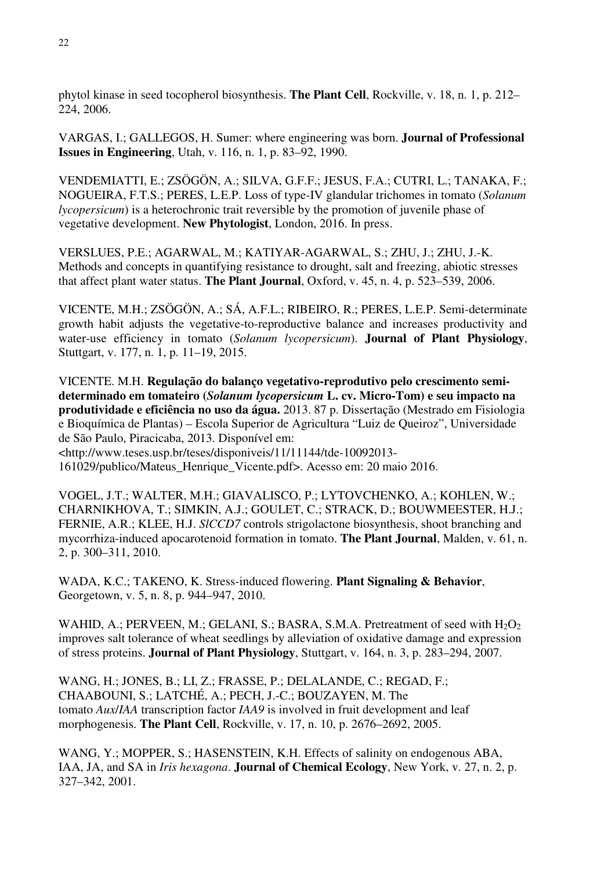phytol kinase in seed tocopherol biosynthesis. **The Plant Cell**, Rockville, v. 18, n. 1, p. 212– 224, 2006.

VARGAS, I.; GALLEGOS, H. Sumer: where engineering was born. **Journal of Professional Issues in Engineering**, Utah, v. 116, n. 1, p. 83–92, 1990.

VENDEMIATTI, E.; ZSÖGÖN, A.; SILVA, G.F.F.; JESUS, F.A.; CUTRI, L.; TANAKA, F.; NOGUEIRA, F.T.S.; PERES, L.E.P. Loss of type-IV glandular trichomes in tomato (*Solanum lycopersicum*) is a heterochronic trait reversible by the promotion of juvenile phase of vegetative development. **New Phytologist**, London, 2016. In press.

VERSLUES, P.E.; AGARWAL, M.; KATIYAR-AGARWAL, S.; ZHU, J.; ZHU, J.-K. Methods and concepts in quantifying resistance to drought, salt and freezing, abiotic stresses that affect plant water status. **The Plant Journal**, Oxford, v. 45, n. 4, p. 523–539, 2006.

VICENTE, M.H.; ZSÖGÖN, A.; SÁ, A.F.L.; RIBEIRO, R.; PERES, L.E.P. Semi-determinate growth habit adjusts the vegetative-to-reproductive balance and increases productivity and water-use efficiency in tomato (*Solanum lycopersicum*). **Journal of Plant Physiology**, Stuttgart, v. 177, n. 1, p. 11–19, 2015.

VICENTE. M.H. **Regulação do balanço vegetativo-reprodutivo pelo crescimento semideterminado em tomateiro (***Solanum lycopersicum* **L. cv. Micro-Tom) e seu impacto na produtividade e eficiência no uso da água.** 2013. 87 p. Dissertação (Mestrado em Fisiologia e Bioquímica de Plantas) – Escola Superior de Agricultura "Luiz de Queiroz", Universidade de São Paulo, Piracicaba, 2013. Disponível em: <http://www.teses.usp.br/teses/disponiveis/11/11144/tde-10092013-

161029/publico/Mateus\_Henrique\_Vicente.pdf>. Acesso em: 20 maio 2016.

VOGEL, J.T.; WALTER, M.H.; GIAVALISCO, P.; LYTOVCHENKO, A.; KOHLEN, W.; CHARNIKHOVA, T.; SIMKIN, A.J.; GOULET, C.; STRACK, D.; BOUWMEESTER, H.J.; FERNIE, A.R.; KLEE, H.J. *SlCCD7* controls strigolactone biosynthesis, shoot branching and mycorrhiza-induced apocarotenoid formation in tomato. **The Plant Journal**, Malden, v. 61, n. 2, p. 300–311, 2010.

WADA, K.C.; TAKENO, K. Stress-induced flowering. **Plant Signaling & Behavior**, Georgetown, v. 5, n. 8, p. 944–947, 2010.

WAHID, A.; PERVEEN, M.; GELANI, S.; BASRA, S.M.A. Pretreatment of seed with  $H_2O_2$ improves salt tolerance of wheat seedlings by alleviation of oxidative damage and expression of stress proteins. **Journal of Plant Physiology**, Stuttgart, v. 164, n. 3, p. 283–294, 2007.

WANG, H.; JONES, B.; LI, Z.; FRASSE, P.; DELALANDE, C.; REGAD, F.; CHAABOUNI, S.; LATCHÉ, A.; PECH, J.-C.; BOUZAYEN, M. The tomato *Aux*/*IAA* transcription factor *IAA9* is involved in fruit development and leaf morphogenesis. **The Plant Cell**, Rockville, v. 17, n. 10, p. 2676–2692, 2005.

WANG, Y.; MOPPER, S.; HASENSTEIN, K.H. Effects of salinity on endogenous ABA, IAA, JA, and SA in *Iris hexagona*. **Journal of Chemical Ecology**, New York, v. 27, n. 2, p. 327–342, 2001.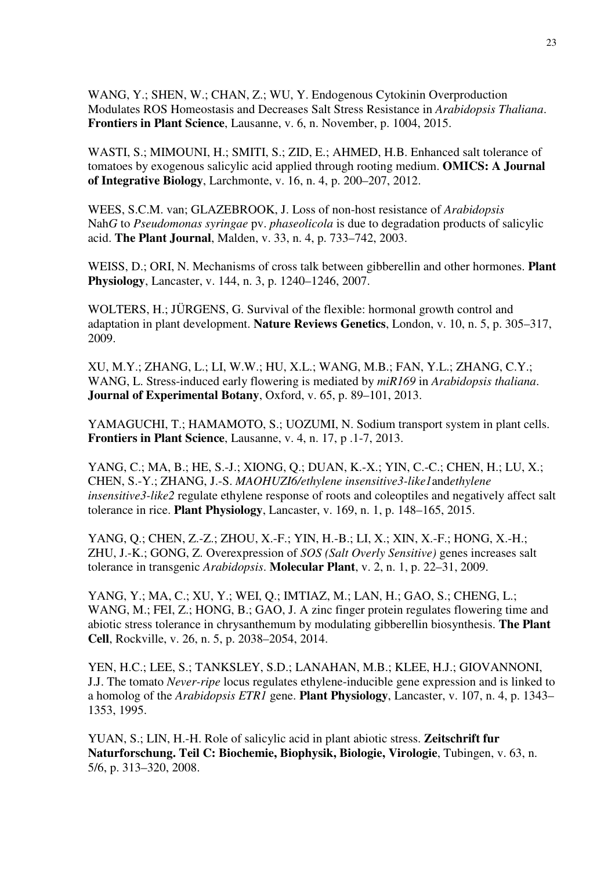WANG, Y.; SHEN, W.; CHAN, Z.; WU, Y. Endogenous Cytokinin Overproduction Modulates ROS Homeostasis and Decreases Salt Stress Resistance in *Arabidopsis Thaliana*. **Frontiers in Plant Science**, Lausanne, v. 6, n. November, p. 1004, 2015.

WASTI, S.; MIMOUNI, H.; SMITI, S.; ZID, E.; AHMED, H.B. Enhanced salt tolerance of tomatoes by exogenous salicylic acid applied through rooting medium. **OMICS: A Journal of Integrative Biology**, Larchmonte, v. 16, n. 4, p. 200–207, 2012.

WEES, S.C.M. van; GLAZEBROOK, J. Loss of non-host resistance of *Arabidopsis*  Nah*G* to *Pseudomonas syringae* pv. *phaseolicola* is due to degradation products of salicylic acid. **The Plant Journal**, Malden, v. 33, n. 4, p. 733–742, 2003.

WEISS, D.; ORI, N. Mechanisms of cross talk between gibberellin and other hormones. **Plant Physiology**, Lancaster, v. 144, n. 3, p. 1240–1246, 2007.

WOLTERS, H.; JÜRGENS, G. Survival of the flexible: hormonal growth control and adaptation in plant development. **Nature Reviews Genetics**, London, v. 10, n. 5, p. 305–317, 2009.

XU, M.Y.; ZHANG, L.; LI, W.W.; HU, X.L.; WANG, M.B.; FAN, Y.L.; ZHANG, C.Y.; WANG, L. Stress-induced early flowering is mediated by *miR169* in *Arabidopsis thaliana*. **Journal of Experimental Botany**, Oxford, v. 65, p. 89–101, 2013.

YAMAGUCHI, T.; HAMAMOTO, S.; UOZUMI, N. Sodium transport system in plant cells. **Frontiers in Plant Science**, Lausanne, v. 4, n. 17, p .1-7, 2013.

YANG, C.; MA, B.; HE, S.-J.; XIONG, Q.; DUAN, K.-X.; YIN, C.-C.; CHEN, H.; LU, X.; CHEN, S.-Y.; ZHANG, J.-S. *MAOHUZI6/ethylene insensitive3-like1*and*ethylene insensitive3-like2* regulate ethylene response of roots and coleoptiles and negatively affect salt tolerance in rice. **Plant Physiology**, Lancaster, v. 169, n. 1, p. 148–165, 2015.

YANG, Q.; CHEN, Z.-Z.; ZHOU, X.-F.; YIN, H.-B.; LI, X.; XIN, X.-F.; HONG, X.-H.; ZHU, J.-K.; GONG, Z. Overexpression of *SOS (Salt Overly Sensitive)* genes increases salt tolerance in transgenic *Arabidopsis*. **Molecular Plant**, v. 2, n. 1, p. 22–31, 2009.

YANG, Y.; MA, C.; XU, Y.; WEI, Q.; IMTIAZ, M.; LAN, H.; GAO, S.; CHENG, L.; WANG, M.; FEI, Z.; HONG, B.; GAO, J. A zinc finger protein regulates flowering time and abiotic stress tolerance in chrysanthemum by modulating gibberellin biosynthesis. **The Plant Cell**, Rockville, v. 26, n. 5, p. 2038–2054, 2014.

YEN, H.C.; LEE, S.; TANKSLEY, S.D.; LANAHAN, M.B.; KLEE, H.J.; GIOVANNONI, J.J. The tomato *Never-ripe* locus regulates ethylene-inducible gene expression and is linked to a homolog of the *Arabidopsis ETR1* gene. **Plant Physiology**, Lancaster, v. 107, n. 4, p. 1343– 1353, 1995.

YUAN, S.; LIN, H.-H. Role of salicylic acid in plant abiotic stress. **Zeitschrift fur Naturforschung. Teil C: Biochemie, Biophysik, Biologie, Virologie**, Tubingen, v. 63, n. 5/6, p. 313–320, 2008.